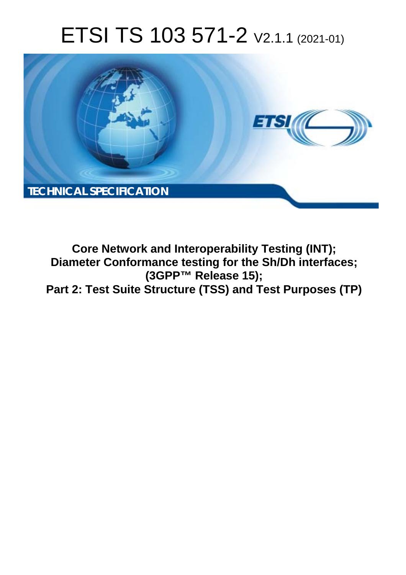# ETSI TS 103 571-2 V2.1.1 (2021-01)



**Core Network and Interoperability Testing (INT); Diameter Conformance testing for the Sh/Dh interfaces; (3GPP™ Release 15); Part 2: Test Suite Structure (TSS) and Test Purposes (TP)**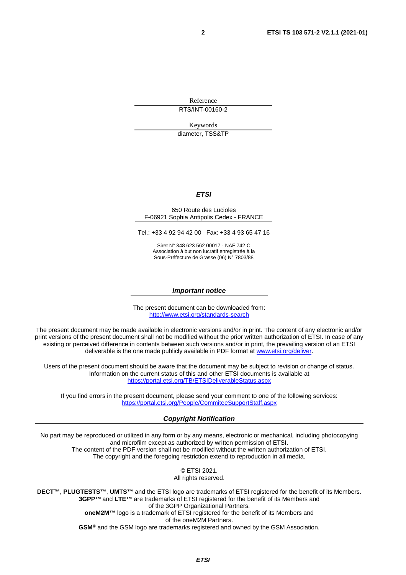Reference

RTS/INT-00160-2

Keywords

diameter, TSS&TP

#### *ETSI*

#### 650 Route des Lucioles F-06921 Sophia Antipolis Cedex - FRANCE

Tel.: +33 4 92 94 42 00 Fax: +33 4 93 65 47 16

Siret N° 348 623 562 00017 - NAF 742 C Association à but non lucratif enregistrée à la Sous-Préfecture de Grasse (06) N° 7803/88

#### *Important notice*

The present document can be downloaded from: <http://www.etsi.org/standards-search>

The present document may be made available in electronic versions and/or in print. The content of any electronic and/or print versions of the present document shall not be modified without the prior written authorization of ETSI. In case of any existing or perceived difference in contents between such versions and/or in print, the prevailing version of an ETSI deliverable is the one made publicly available in PDF format at [www.etsi.org/deliver](http://www.etsi.org/deliver).

Users of the present document should be aware that the document may be subject to revision or change of status. Information on the current status of this and other ETSI documents is available at <https://portal.etsi.org/TB/ETSIDeliverableStatus.aspx>

If you find errors in the present document, please send your comment to one of the following services: <https://portal.etsi.org/People/CommiteeSupportStaff.aspx>

#### *Copyright Notification*

No part may be reproduced or utilized in any form or by any means, electronic or mechanical, including photocopying and microfilm except as authorized by written permission of ETSI. The content of the PDF version shall not be modified without the written authorization of ETSI. The copyright and the foregoing restriction extend to reproduction in all media.

> © ETSI 2021. All rights reserved.

**DECT™**, **PLUGTESTS™**, **UMTS™** and the ETSI logo are trademarks of ETSI registered for the benefit of its Members. **3GPP™** and **LTE™** are trademarks of ETSI registered for the benefit of its Members and of the 3GPP Organizational Partners. **oneM2M™** logo is a trademark of ETSI registered for the benefit of its Members and of the oneM2M Partners. **GSM®** and the GSM logo are trademarks registered and owned by the GSM Association.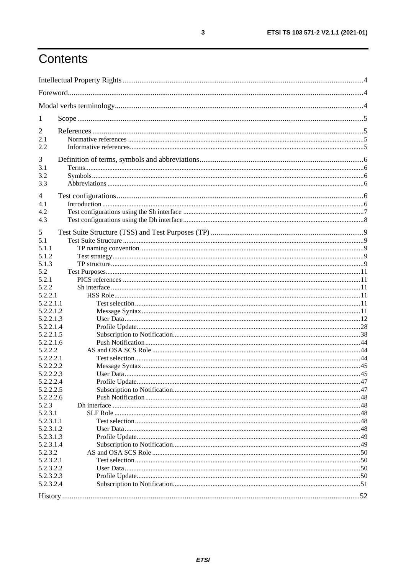## Contents

| $\mathbf{I}$ |  |
|--------------|--|
| 2            |  |
| 2.1          |  |
| 2.2          |  |
|              |  |
| 3            |  |
| 3.1          |  |
| 3.2          |  |
| 3.3          |  |
| 4            |  |
| 4.1          |  |
| 4.2          |  |
| 4.3          |  |
|              |  |
| 5            |  |
| 5.1          |  |
| 5.1.1        |  |
| 5.1.2        |  |
| 5.1.3        |  |
| 5.2          |  |
| 5.2.1        |  |
| 5.2.2        |  |
| 5.2.2.1      |  |
| 5.2.2.1.1    |  |
| 5.2.2.1.2    |  |
| 5.2.2.1.3    |  |
| 5.2.2.1.4    |  |
| 5.2.2.1.5    |  |
| 5.2.2.1.6    |  |
| 5.2.2.2      |  |
| 5.2.2.2.1    |  |
| 5.2.2.2.2    |  |
| 5.2.2.2.3    |  |
| 5.2.2.2.4    |  |
| 5.2.2.2.5    |  |
| 5.2.2.2.6    |  |
| 5.2.3        |  |
| 5.2.3.1      |  |
| 5.2.3.1.1    |  |
| 5.2.3.1.2    |  |
| 5.2.3.1.3    |  |
| 5.2.3.1.4    |  |
| 5.2.3.2      |  |
| 5.2.3.2.1    |  |
| 5.2.3.2.2    |  |
| 5.2.3.2.3    |  |
| 5.2.3.2.4    |  |
|              |  |
|              |  |

 $\mathbf{3}$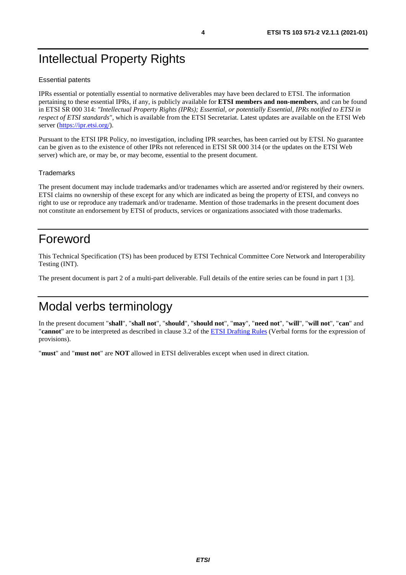## <span id="page-3-0"></span>Intellectual Property Rights

#### Essential patents

IPRs essential or potentially essential to normative deliverables may have been declared to ETSI. The information pertaining to these essential IPRs, if any, is publicly available for **ETSI members and non-members**, and can be found in ETSI SR 000 314: *"Intellectual Property Rights (IPRs); Essential, or potentially Essential, IPRs notified to ETSI in respect of ETSI standards"*, which is available from the ETSI Secretariat. Latest updates are available on the ETSI Web server ([https://ipr.etsi.org/\)](https://ipr.etsi.org/).

Pursuant to the ETSI IPR Policy, no investigation, including IPR searches, has been carried out by ETSI. No guarantee can be given as to the existence of other IPRs not referenced in ETSI SR 000 314 (or the updates on the ETSI Web server) which are, or may be, or may become, essential to the present document.

#### **Trademarks**

The present document may include trademarks and/or tradenames which are asserted and/or registered by their owners. ETSI claims no ownership of these except for any which are indicated as being the property of ETSI, and conveys no right to use or reproduce any trademark and/or tradename. Mention of those trademarks in the present document does not constitute an endorsement by ETSI of products, services or organizations associated with those trademarks.

## Foreword

This Technical Specification (TS) has been produced by ETSI Technical Committee Core Network and Interoperability Testing (INT).

The present document is part 2 of a multi-part deliverable. Full details of the entire series can be found in part 1 [[3\]](#page-4-0).

## Modal verbs terminology

In the present document "**shall**", "**shall not**", "**should**", "**should not**", "**may**", "**need not**", "**will**", "**will not**", "**can**" and "**cannot**" are to be interpreted as described in clause 3.2 of the [ETSI Drafting Rules](https://portal.etsi.org/Services/editHelp!/Howtostart/ETSIDraftingRules.aspx) (Verbal forms for the expression of provisions).

"**must**" and "**must not**" are **NOT** allowed in ETSI deliverables except when used in direct citation.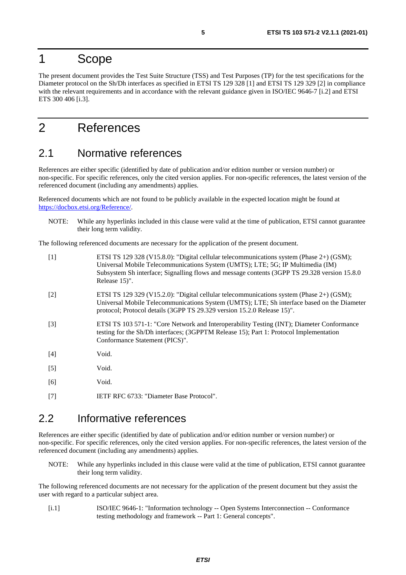## <span id="page-4-0"></span>1 Scope

The present document provides the Test Suite Structure (TSS) and Test Purposes (TP) for the test specifications for the Diameter protocol on the Sh/Dh interfaces as specified in ETSI TS 129 328 [1] and ETSI TS 129 329 [2] in compliance with the relevant requirements and in accordance with the relevant guidance given in ISO/IEC 9646-7 [[i.2](#page-5-0)] and ETSI ETS 300 406 [\[i.3](#page-5-0)].

## 2 References

## 2.1 Normative references

References are either specific (identified by date of publication and/or edition number or version number) or non-specific. For specific references, only the cited version applies. For non-specific references, the latest version of the referenced document (including any amendments) applies.

Referenced documents which are not found to be publicly available in the expected location might be found at <https://docbox.etsi.org/Reference/>.

NOTE: While any hyperlinks included in this clause were valid at the time of publication, ETSI cannot guarantee their long term validity.

The following referenced documents are necessary for the application of the present document.

| $[1]$             | ETSI TS 129 328 (V15.8.0): "Digital cellular telecommunications system (Phase $2+$ ) (GSM);<br>Universal Mobile Telecommunications System (UMTS); LTE; 5G; IP Multimedia (IM)<br>Subsystem Sh interface; Signalling flows and message contents (3GPP TS 29.328 version 15.8.0)<br>Release 15)". |
|-------------------|-------------------------------------------------------------------------------------------------------------------------------------------------------------------------------------------------------------------------------------------------------------------------------------------------|
| $[2]$             | ETSI TS 129 329 (V15.2.0): "Digital cellular telecommunications system (Phase $2+$ ) (GSM);<br>Universal Mobile Telecommunications System (UMTS); LTE; Sh interface based on the Diameter<br>protocol; Protocol details (3GPP TS 29.329 version 15.2.0 Release 15)".                            |
| $\lceil 3 \rceil$ | ETSI TS 103 571-1: "Core Network and Interoperability Testing (INT); Diameter Conformance<br>testing for the Sh/Dh interfaces; (3GPPTM Release 15); Part 1: Protocol Implementation<br>Conformance Statement (PICS)".                                                                           |
| $[4]$             | Void.                                                                                                                                                                                                                                                                                           |
| $[5]$             | Void.                                                                                                                                                                                                                                                                                           |
| [6]               | Void.                                                                                                                                                                                                                                                                                           |
| $[7]$             | IETF RFC 6733: "Diameter Base Protocol".                                                                                                                                                                                                                                                        |

## 2.2 Informative references

References are either specific (identified by date of publication and/or edition number or version number) or non-specific. For specific references, only the cited version applies. For non-specific references, the latest version of the referenced document (including any amendments) applies.

NOTE: While any hyperlinks included in this clause were valid at the time of publication, ETSI cannot guarantee their long term validity.

The following referenced documents are not necessary for the application of the present document but they assist the user with regard to a particular subject area.

[i.1] ISO/IEC 9646-1: "Information technology -- Open Systems Interconnection -- Conformance testing methodology and framework -- Part 1: General concepts".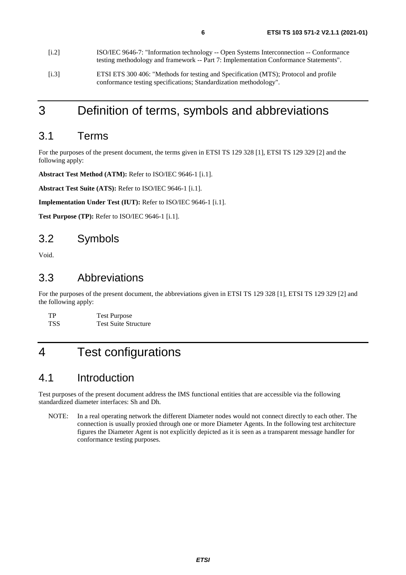<span id="page-5-0"></span>

| $\left[1.2\right]$ | ISO/IEC 9646-7: "Information technology -- Open Systems Interconnection -- Conformance<br>testing methodology and framework -- Part 7: Implementation Conformance Statements". |
|--------------------|--------------------------------------------------------------------------------------------------------------------------------------------------------------------------------|
| [i.3]              | ETSI ETS 300 406: "Methods for testing and Specification (MTS); Protocol and profile<br>conformance testing specifications; Standardization methodology".                      |

## 3 Definition of terms, symbols and abbreviations

### 3.1 Terms

For the purposes of the present document, the terms given in ETSI TS 129 328 [[1\]](#page-4-0), ETSI TS 129 329 [\[2](#page-4-0)] and the following apply:

**Abstract Test Method (ATM):** Refer to ISO/IEC 9646-1 [[i.1\]](#page-4-0).

**Abstract Test Suite (ATS):** Refer to ISO/IEC 9646-1 [[i.1](#page-4-0)].

**Implementation Under Test (IUT):** Refer to ISO/IEC 9646-1 [[i.1](#page-4-0)].

**Test Purpose (TP):** Refer to ISO/IEC 9646-1 [[i.1](#page-4-0)].

### 3.2 Symbols

Void.

### 3.3 Abbreviations

For the purposes of the present document, the abbreviations given in ETSI TS 129 328 [\[1](#page-4-0)], ETSI TS 129 329 [[2\]](#page-4-0) and the following apply:

TP Test Purpose TSS Test Suite Structure

## 4 Test configurations

## 4.1 Introduction

Test purposes of the present document address the IMS functional entities that are accessible via the following standardized diameter interfaces: Sh and Dh.

NOTE: In a real operating network the different Diameter nodes would not connect directly to each other. The connection is usually proxied through one or more Diameter Agents. In the following test architecture figures the Diameter Agent is not explicitly depicted as it is seen as a transparent message handler for conformance testing purposes.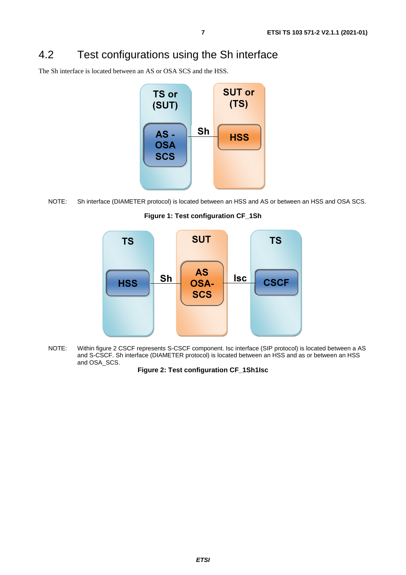## <span id="page-6-0"></span>4.2 Test configurations using the Sh interface

The Sh interface is located between an AS or OSA SCS and the HSS.



NOTE: Sh interface (DIAMETER protocol) is located between an HSS and AS or between an HSS and OSA SCS.

**Figure 1: Test configuration CF\_1Sh** 



NOTE: Within figure 2 CSCF represents S-CSCF component. Isc interface (SIP protocol) is located between a AS and S-CSCF. Sh interface (DIAMETER protocol) is located between an HSS and as or between an HSS and OSA\_SCS.

**Figure 2: Test configuration CF\_1Sh1Isc**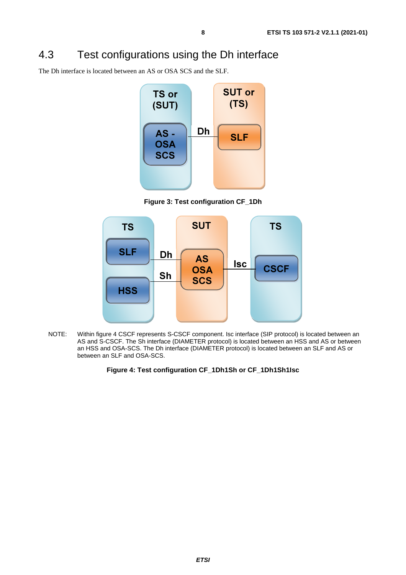## <span id="page-7-0"></span>4.3 Test configurations using the Dh interface

The Dh interface is located between an AS or OSA SCS and the SLF.



**Figure 3: Test configuration CF\_1Dh** 



NOTE: Within figure 4 CSCF represents S-CSCF component. Isc interface (SIP protocol) is located between an AS and S-CSCF. The Sh interface (DIAMETER protocol) is located between an HSS and AS or between an HSS and OSA-SCS. The Dh interface (DIAMETER protocol) is located between an SLF and AS or between an SLF and OSA-SCS.

#### **Figure 4: Test configuration CF\_1Dh1Sh or CF\_1Dh1Sh1Isc**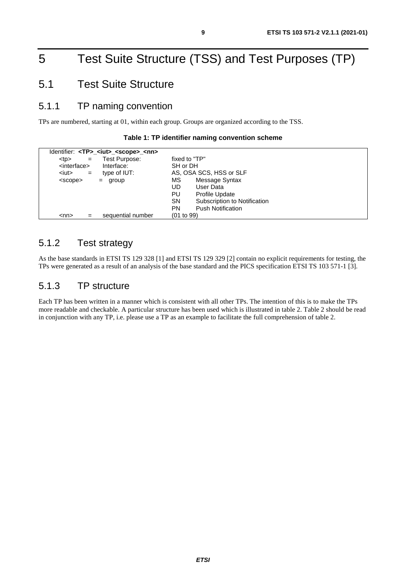## <span id="page-8-0"></span>5 Test Suite Structure (TSS) and Test Purposes (TP)

## 5.1 Test Suite Structure

#### 5.1.1 TP naming convention

TPs are numbered, starting at 01, within each group. Groups are organized according to the TSS.

| Table 1: TP identifier naming convention scheme |  |  |  |  |  |
|-------------------------------------------------|--|--|--|--|--|
|-------------------------------------------------|--|--|--|--|--|

|                         |     | Identifier: <tp>_<iut>_<scope>_<nn></nn></scope></iut></tp> |               |                              |
|-------------------------|-----|-------------------------------------------------------------|---------------|------------------------------|
| <tp></tp>               | $=$ | Test Purpose:                                               | fixed to "TP" |                              |
| <interface></interface> |     | Interface:                                                  | SH or DH      |                              |
| <iut></iut>             | $=$ | type of IUT:                                                |               | AS, OSA SCS, HSS or SLF      |
| <scope></scope>         |     | group<br>$=$                                                | МS            | Message Syntax               |
|                         |     |                                                             | UD            | User Data                    |
|                         |     |                                                             | PU            | <b>Profile Update</b>        |
|                         |     |                                                             | <b>SN</b>     | Subscription to Notification |
|                         |     |                                                             | PN            | <b>Push Notification</b>     |
| <nn></nn>               | $=$ | sequential number                                           | (01 to 99)    |                              |

### 5.1.2 Test strategy

As the base standards in ETSI TS 129 328 [[1](#page-4-0)] and ETSI TS 129 329 [\[2\]](#page-4-0) contain no explicit requirements for testing, the TPs were generated as a result of an analysis of the base standard and the PICS specification ETSI TS 103 571-1 [\[3\]](#page-4-0).

### 5.1.3 TP structure

Each TP has been written in a manner which is consistent with all other TPs. The intention of this is to make the TPs more readable and checkable. A particular structure has been used which is illustrated in table 2. Table 2 should be read in conjunction with any TP, i.e. please use a TP as an example to facilitate the full comprehension of table 2.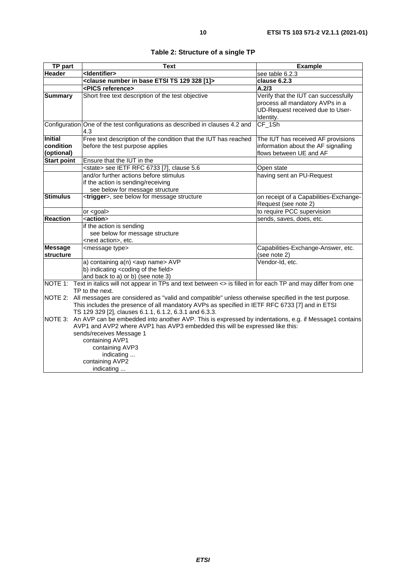| TP part                            | <b>Text</b>                                                                                                                                                                                                                                                                                      | <b>Example</b>                                                                                                           |
|------------------------------------|--------------------------------------------------------------------------------------------------------------------------------------------------------------------------------------------------------------------------------------------------------------------------------------------------|--------------------------------------------------------------------------------------------------------------------------|
| Header                             | <identifier></identifier>                                                                                                                                                                                                                                                                        | see table 6.2.3                                                                                                          |
|                                    | <clause 129="" 328="" [1]="" base="" etsi="" in="" number="" ts=""></clause>                                                                                                                                                                                                                     | clause 6.2.3                                                                                                             |
|                                    | <pics reference=""></pics>                                                                                                                                                                                                                                                                       | A.2/3                                                                                                                    |
| <b>Summary</b>                     | Short free text description of the test objective                                                                                                                                                                                                                                                | Verify that the IUT can successfully<br>process all mandatory AVPs in a<br>UD-Request received due to User-<br>Identity. |
|                                    | Configuration One of the test configurations as described in clauses 4.2 and<br>4.3                                                                                                                                                                                                              | CF_1Sh                                                                                                                   |
| Initial<br>condition<br>(optional) | Free text description of the condition that the IUT has reached<br>before the test purpose applies                                                                                                                                                                                               | The IUT has received AF provisions<br>information about the AF signalling<br>flows between UE and AF                     |
| <b>Start point</b>                 | Ensure that the IUT in the                                                                                                                                                                                                                                                                       |                                                                                                                          |
|                                    | <state> see IETF RFC 6733 [7], clause 5.6</state>                                                                                                                                                                                                                                                | Open state                                                                                                               |
|                                    | and/or further actions before stimulus<br>if the action is sending/receiving<br>see below for message structure                                                                                                                                                                                  | having sent an PU-Request                                                                                                |
| <b>Stimulus</b>                    | <trigger>, see below for message structure</trigger>                                                                                                                                                                                                                                             | on receipt of a Capabilities-Exchange-<br>Request (see note 2)                                                           |
|                                    | or $<$ goal $>$                                                                                                                                                                                                                                                                                  | to require PCC supervision                                                                                               |
| Reaction                           | <action></action>                                                                                                                                                                                                                                                                                | sends, saves, does, etc.                                                                                                 |
|                                    | if the action is sending<br>see below for message structure<br><next action="">, etc.</next>                                                                                                                                                                                                     |                                                                                                                          |
| <b>Message</b><br>structure        | <message type=""></message>                                                                                                                                                                                                                                                                      | Capabilities-Exchange-Answer, etc.<br>(see note 2)                                                                       |
|                                    | a) containing a(n) <avp name=""> AVP<br/>b) indicating <coding field="" of="" the=""><br/>and back to a) or b) (see note 3)</coding></avp>                                                                                                                                                       | Vendor-Id, etc.                                                                                                          |
|                                    | NOTE 1: Text in italics will not appear in TPs and text between <> is filled in for each TP and may differ from one<br>TP to the next.                                                                                                                                                           |                                                                                                                          |
|                                    | NOTE 2: All messages are considered as "valid and compatible" unless otherwise specified in the test purpose.<br>This includes the presence of all mandatory AVPs as specified in IETF RFC 6733 [7] and in ETSI<br>TS 129 329 [2], clauses 6.1.1, 6.1.2, 6.3.1 and 6.3.3.                        |                                                                                                                          |
|                                    | NOTE 3: An AVP can be embedded into another AVP. This is expressed by indentations, e.g. if Message1 contains<br>AVP1 and AVP2 where AVP1 has AVP3 embedded this will be expressed like this:<br>sends/receives Message 1<br>containing AVP1<br>containing AVP3<br>indicating<br>containing AVP2 |                                                                                                                          |

indicating ...

|  |  |  |  | Table 2: Structure of a single TP |
|--|--|--|--|-----------------------------------|
|--|--|--|--|-----------------------------------|

*ETSI*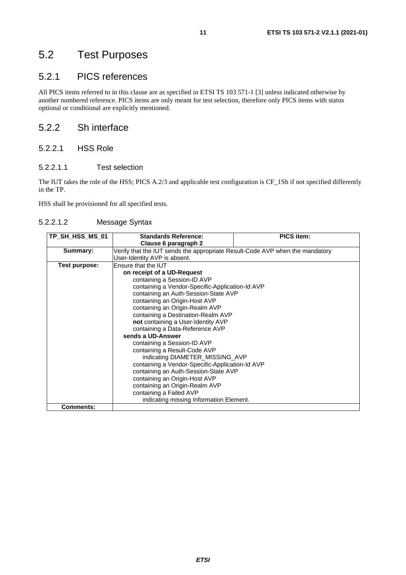## <span id="page-10-0"></span>5.2 Test Purposes

### 5.2.1 PICS references

All PICS items referred to in this clause are as specified in ETSI TS 103 571-1 [\[3\]](#page-4-0) unless indicated otherwise by another numbered reference. PICS items are only meant for test selection, therefore only PICS items with status optional or conditional are explicitly mentioned.

### 5.2.2 Sh interface

#### 5.2.2.1 HSS Role

#### 5.2.2.1.1 Test selection

The IUT takes the role of the HSS; PICS A.2/3 and applicable test configuration is CF\_1Sh if not specified differently in the TP.

HSS shall be provisioned for all specified tests.

#### 5.2.2.1.2 Message Syntax

| TP_SH_HSS_MS_01  | <b>Standards Reference:</b>                                                  | <b>PICS item:</b> |  |  |
|------------------|------------------------------------------------------------------------------|-------------------|--|--|
|                  | Clause 6 paragraph 2                                                         |                   |  |  |
| Summary:         | Verify that the IUT sends the appropriate Result-Code AVP when the mandatory |                   |  |  |
|                  | User-Identity AVP is absent.                                                 |                   |  |  |
| Test purpose:    | Ensure that the IUT                                                          |                   |  |  |
|                  | on receipt of a UD-Request                                                   |                   |  |  |
|                  | containing a Session-ID AVP                                                  |                   |  |  |
|                  | containing a Vendor-Specific-Application-Id AVP                              |                   |  |  |
|                  | containing an Auth-Session-State AVP                                         |                   |  |  |
|                  | containing an Origin-Host AVP                                                |                   |  |  |
|                  | containing an Origin-Realm AVP                                               |                   |  |  |
|                  | containing a Destination-Realm AVP                                           |                   |  |  |
|                  | not containing a User-Identity AVP                                           |                   |  |  |
|                  | containing a Data-Reference AVP                                              |                   |  |  |
|                  | sends a UD-Answer                                                            |                   |  |  |
|                  | containing a Session-ID AVP                                                  |                   |  |  |
|                  | containing a Result-Code AVP                                                 |                   |  |  |
|                  | indicating DIAMETER_MISSING_AVP                                              |                   |  |  |
|                  | containing a Vendor-Specific-Application-Id AVP                              |                   |  |  |
|                  | containing an Auth-Session-State AVP                                         |                   |  |  |
|                  | containing an Origin-Host AVP                                                |                   |  |  |
|                  | containing an Origin-Realm AVP                                               |                   |  |  |
|                  | containing a Failed AVP                                                      |                   |  |  |
|                  | indicating missing Information Element.                                      |                   |  |  |
| <b>Comments:</b> |                                                                              |                   |  |  |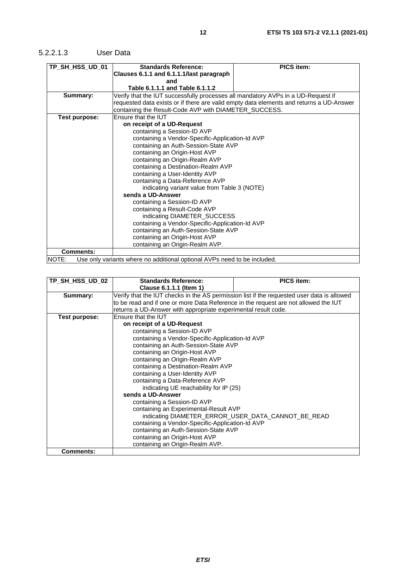#### <span id="page-11-0"></span>5.2.2.1.3 User Data

| TP_SH_HSS_UD_01  | <b>Standards Reference:</b>                                                      | <b>PICS item:</b>                                                                       |  |  |
|------------------|----------------------------------------------------------------------------------|-----------------------------------------------------------------------------------------|--|--|
|                  | Clauses 6.1.1 and 6.1.1.1/last paragraph                                         |                                                                                         |  |  |
|                  | and                                                                              |                                                                                         |  |  |
|                  | Table 6.1.1.1 and Table 6.1.1.2                                                  |                                                                                         |  |  |
| Summary:         | Verify that the IUT successfully processes all mandatory AVPs in a UD-Request if |                                                                                         |  |  |
|                  |                                                                                  | requested data exists or if there are valid empty data elements and returns a UD-Answer |  |  |
|                  | containing the Result-Code AVP with DIAMETER_SUCCESS.                            |                                                                                         |  |  |
| Test purpose:    | Ensure that the IUT                                                              |                                                                                         |  |  |
|                  | on receipt of a UD-Request                                                       |                                                                                         |  |  |
|                  | containing a Session-ID AVP                                                      |                                                                                         |  |  |
|                  | containing a Vendor-Specific-Application-Id AVP                                  |                                                                                         |  |  |
|                  | containing an Auth-Session-State AVP                                             |                                                                                         |  |  |
|                  | containing an Origin-Host AVP                                                    |                                                                                         |  |  |
|                  | containing an Origin-Realm AVP                                                   |                                                                                         |  |  |
|                  | containing a Destination-Realm AVP                                               |                                                                                         |  |  |
|                  | containing a User-Identity AVP                                                   |                                                                                         |  |  |
|                  | containing a Data-Reference AVP                                                  |                                                                                         |  |  |
|                  | indicating variant value from Table 3 (NOTE)                                     |                                                                                         |  |  |
|                  | sends a UD-Answer                                                                |                                                                                         |  |  |
|                  | containing a Session-ID AVP                                                      |                                                                                         |  |  |
|                  | containing a Result-Code AVP                                                     |                                                                                         |  |  |
|                  | indicating DIAMETER_SUCCESS                                                      |                                                                                         |  |  |
|                  | containing a Vendor-Specific-Application-Id AVP                                  |                                                                                         |  |  |
|                  | containing an Auth-Session-State AVP                                             |                                                                                         |  |  |
|                  | containing an Origin-Host AVP                                                    |                                                                                         |  |  |
|                  | containing an Origin-Realm AVP.                                                  |                                                                                         |  |  |
| <b>Comments:</b> |                                                                                  |                                                                                         |  |  |
| NOTE:            | Use only variants where no additional optional AVPs need to be included.         |                                                                                         |  |  |

| TP_SH_HSS_UD_02  | <b>Standards Reference:</b>                                                                | <b>PICS item:</b> |  |
|------------------|--------------------------------------------------------------------------------------------|-------------------|--|
|                  | Clause 6.1.1.1 (Item 1)                                                                    |                   |  |
| Summary:         | Verify that the IUT checks in the AS permission list if the requested user data is allowed |                   |  |
|                  | to be read and if one or more Data Reference in the request are not allowed the IUT        |                   |  |
|                  | returns a UD-Answer with appropriate experimental result code.                             |                   |  |
| Test purpose:    | Ensure that the IUT                                                                        |                   |  |
|                  | on receipt of a UD-Request                                                                 |                   |  |
|                  | containing a Session-ID AVP                                                                |                   |  |
|                  | containing a Vendor-Specific-Application-Id AVP                                            |                   |  |
|                  | containing an Auth-Session-State AVP                                                       |                   |  |
|                  | containing an Origin-Host AVP                                                              |                   |  |
|                  | containing an Origin-Realm AVP                                                             |                   |  |
|                  | containing a Destination-Realm AVP                                                         |                   |  |
|                  | containing a User-Identity AVP                                                             |                   |  |
|                  | containing a Data-Reference AVP                                                            |                   |  |
|                  | indicating UE reachability for IP (25)                                                     |                   |  |
|                  | sends a UD-Answer                                                                          |                   |  |
|                  | containing a Session-ID AVP                                                                |                   |  |
|                  | containing an Experimental-Result AVP                                                      |                   |  |
|                  | indicating DIAMETER_ERROR_USER_DATA_CANNOT_BE_READ                                         |                   |  |
|                  | containing a Vendor-Specific-Application-Id AVP                                            |                   |  |
|                  | containing an Auth-Session-State AVP                                                       |                   |  |
|                  | containing an Origin-Host AVP                                                              |                   |  |
|                  | containing an Origin-Realm AVP.                                                            |                   |  |
| <b>Comments:</b> |                                                                                            |                   |  |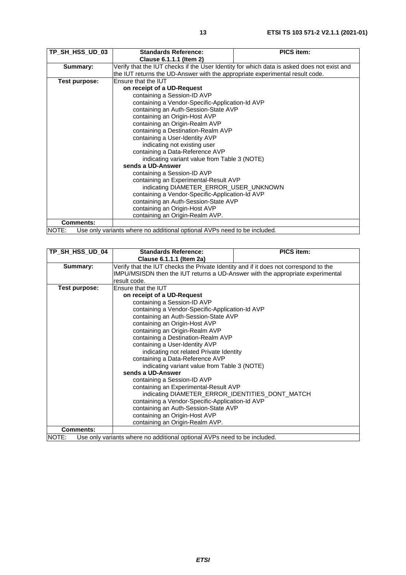| TP_SH_HSS_UD_03  | <b>Standards Reference:</b>                                                                | <b>PICS item:</b>                            |  |  |
|------------------|--------------------------------------------------------------------------------------------|----------------------------------------------|--|--|
|                  | Clause 6.1.1.1 (Item 2)                                                                    |                                              |  |  |
| Summary:         | Verify that the IUT checks if the User Identity for which data is asked does not exist and |                                              |  |  |
|                  | the IUT returns the UD-Answer with the appropriate experimental result code.               |                                              |  |  |
| Test purpose:    | Ensure that the IUT                                                                        |                                              |  |  |
|                  | on receipt of a UD-Request                                                                 |                                              |  |  |
|                  | containing a Session-ID AVP                                                                |                                              |  |  |
|                  | containing a Vendor-Specific-Application-Id AVP                                            |                                              |  |  |
|                  | containing an Auth-Session-State AVP                                                       |                                              |  |  |
|                  | containing an Origin-Host AVP                                                              |                                              |  |  |
|                  | containing an Origin-Realm AVP                                                             |                                              |  |  |
|                  | containing a Destination-Realm AVP                                                         |                                              |  |  |
|                  | containing a User-Identity AVP                                                             |                                              |  |  |
|                  | indicating not existing user                                                               |                                              |  |  |
|                  | containing a Data-Reference AVP                                                            | indicating variant value from Table 3 (NOTE) |  |  |
|                  | sends a UD-Answer                                                                          |                                              |  |  |
|                  | containing a Session-ID AVP                                                                |                                              |  |  |
|                  |                                                                                            |                                              |  |  |
|                  | containing an Experimental-Result AVP<br>indicating DIAMETER_ERROR_USER_UNKNOWN            |                                              |  |  |
|                  | containing a Vendor-Specific-Application-Id AVP                                            |                                              |  |  |
|                  | containing an Auth-Session-State AVP                                                       |                                              |  |  |
|                  | containing an Origin-Host AVP                                                              |                                              |  |  |
|                  | containing an Origin-Realm AVP.                                                            |                                              |  |  |
| <b>Comments:</b> |                                                                                            |                                              |  |  |
| NOTE:            | Use only variants where no additional optional AVPs need to be included.                   |                                              |  |  |

| TP_SH_HSS_UD_04      | <b>Standards Reference:</b>                                                          | <b>PICS item:</b> |  |  |  |
|----------------------|--------------------------------------------------------------------------------------|-------------------|--|--|--|
|                      |                                                                                      |                   |  |  |  |
|                      | Clause 6.1.1.1 (Item 2a)                                                             |                   |  |  |  |
| Summary:             | Verify that the IUT checks the Private Identity and if it does not correspond to the |                   |  |  |  |
|                      | IMPU/MSISDN then the IUT returns a UD-Answer with the appropriate experimental       |                   |  |  |  |
|                      | result code.                                                                         |                   |  |  |  |
| <b>Test purpose:</b> | Ensure that the IUT                                                                  |                   |  |  |  |
|                      | on receipt of a UD-Request                                                           |                   |  |  |  |
|                      | containing a Session-ID AVP                                                          |                   |  |  |  |
|                      | containing a Vendor-Specific-Application-Id AVP                                      |                   |  |  |  |
|                      | containing an Auth-Session-State AVP                                                 |                   |  |  |  |
|                      | containing an Origin-Host AVP                                                        |                   |  |  |  |
|                      | containing an Origin-Realm AVP                                                       |                   |  |  |  |
|                      | containing a Destination-Realm AVP                                                   |                   |  |  |  |
|                      | containing a User-Identity AVP                                                       |                   |  |  |  |
|                      | indicating not related Private Identity                                              |                   |  |  |  |
|                      | containing a Data-Reference AVP                                                      |                   |  |  |  |
|                      | indicating variant value from Table 3 (NOTE)                                         |                   |  |  |  |
|                      | sends a UD-Answer                                                                    |                   |  |  |  |
|                      | containing a Session-ID AVP                                                          |                   |  |  |  |
|                      | containing an Experimental-Result AVP                                                |                   |  |  |  |
|                      | indicating DIAMETER_ERROR_IDENTITIES_DONT_MATCH                                      |                   |  |  |  |
|                      | containing a Vendor-Specific-Application-Id AVP                                      |                   |  |  |  |
|                      | containing an Auth-Session-State AVP                                                 |                   |  |  |  |
|                      | containing an Origin-Host AVP                                                        |                   |  |  |  |
|                      |                                                                                      |                   |  |  |  |
|                      | containing an Origin-Realm AVP.                                                      |                   |  |  |  |
| <b>Comments:</b>     |                                                                                      |                   |  |  |  |
| NOTE:                | Use only variants where no additional optional AVPs need to be included.             |                   |  |  |  |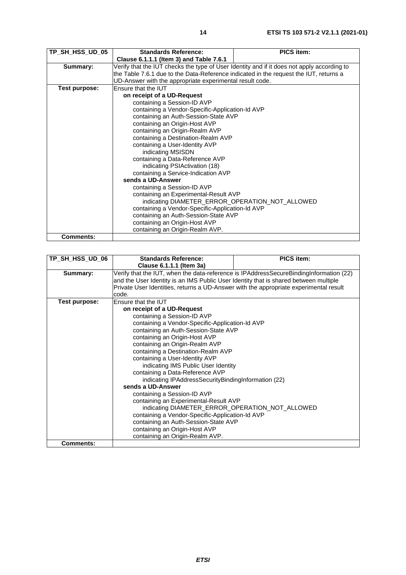| TP_SH_HSS_UD_05  | <b>Standards Reference:</b>                                                                | <b>PICS item:</b> |
|------------------|--------------------------------------------------------------------------------------------|-------------------|
|                  | Clause 6.1.1.1 (Item 3) and Table 7.6.1                                                    |                   |
| Summary:         | Verify that the IUT checks the type of User Identity and if it does not apply according to |                   |
|                  | the Table 7.6.1 due to the Data-Reference indicated in the request the IUT, returns a      |                   |
|                  | UD-Answer with the appropriate experimental result code.                                   |                   |
| Test purpose:    | Ensure that the IUT                                                                        |                   |
|                  | on receipt of a UD-Request                                                                 |                   |
|                  | containing a Session-ID AVP                                                                |                   |
|                  | containing a Vendor-Specific-Application-Id AVP                                            |                   |
|                  | containing an Auth-Session-State AVP                                                       |                   |
|                  | containing an Origin-Host AVP                                                              |                   |
|                  | containing an Origin-Realm AVP                                                             |                   |
|                  | containing a Destination-Realm AVP                                                         |                   |
|                  | containing a User-Identity AVP                                                             |                   |
|                  | indicating MSISDN                                                                          |                   |
|                  | containing a Data-Reference AVP                                                            |                   |
|                  | indicating PSIActivation (18)                                                              |                   |
|                  | containing a Service-Indication AVP                                                        |                   |
|                  | sends a UD-Answer                                                                          |                   |
|                  | containing a Session-ID AVP                                                                |                   |
|                  | containing an Experimental-Result AVP                                                      |                   |
|                  | indicating DIAMETER_ERROR_OPERATION_NOT_ALLOWED                                            |                   |
|                  | containing a Vendor-Specific-Application-Id AVP                                            |                   |
|                  | containing an Auth-Session-State AVP                                                       |                   |
|                  | containing an Origin-Host AVP                                                              |                   |
|                  | containing an Origin-Realm AVP.                                                            |                   |
| <b>Comments:</b> |                                                                                            |                   |

| TP_SH_HSS_UD_06  | <b>Standards Reference:</b>                                                            | <b>PICS item:</b>                                   |  |
|------------------|----------------------------------------------------------------------------------------|-----------------------------------------------------|--|
|                  | Clause 6.1.1.1 (Item 3a)                                                               |                                                     |  |
| Summary:         | Verify that the IUT, when the data-reference is IPAddressSecureBindingInformation (22) |                                                     |  |
|                  | and the User Identity is an IMS Public User Identity that is shared between multiple   |                                                     |  |
|                  | Private User Identities, returns a UD-Answer with the appropriate experimental result  |                                                     |  |
|                  | code.                                                                                  |                                                     |  |
| Test purpose:    | Ensure that the IUT                                                                    |                                                     |  |
|                  | on receipt of a UD-Request                                                             |                                                     |  |
|                  | containing a Session-ID AVP                                                            |                                                     |  |
|                  | containing a Vendor-Specific-Application-Id AVP                                        |                                                     |  |
|                  | containing an Auth-Session-State AVP                                                   |                                                     |  |
|                  | containing an Origin-Host AVP                                                          |                                                     |  |
|                  | containing an Origin-Realm AVP                                                         |                                                     |  |
|                  | containing a Destination-Realm AVP                                                     |                                                     |  |
|                  | containing a User-Identity AVP                                                         |                                                     |  |
|                  | indicating IMS Public User Identity                                                    |                                                     |  |
|                  | containing a Data-Reference AVP                                                        | indicating IPAddressSecurityBindingInformation (22) |  |
|                  |                                                                                        |                                                     |  |
|                  | sends a UD-Answer                                                                      |                                                     |  |
|                  | containing a Session-ID AVP                                                            |                                                     |  |
|                  | containing an Experimental-Result AVP                                                  |                                                     |  |
|                  | indicating DIAMETER_ERROR_OPERATION_NOT_ALLOWED                                        |                                                     |  |
|                  | containing a Vendor-Specific-Application-Id AVP                                        |                                                     |  |
|                  | containing an Auth-Session-State AVP                                                   |                                                     |  |
|                  | containing an Origin-Host AVP                                                          |                                                     |  |
|                  | containing an Origin-Realm AVP.                                                        |                                                     |  |
| <b>Comments:</b> |                                                                                        |                                                     |  |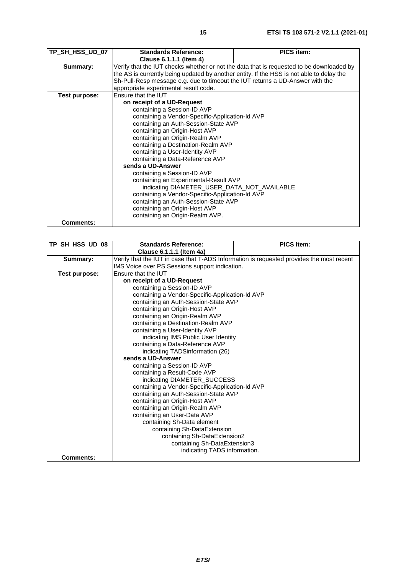| TP_SH_HSS_UD_07  | <b>Standards Reference:</b>                                                              | <b>PICS item:</b>                                                                        |
|------------------|------------------------------------------------------------------------------------------|------------------------------------------------------------------------------------------|
|                  | Clause 6.1.1.1 (Item 4)                                                                  |                                                                                          |
| Summary:         |                                                                                          | Verify that the IUT checks whether or not the data that is requested to be downloaded by |
|                  | the AS is currently being updated by another entity. If the HSS is not able to delay the |                                                                                          |
|                  | Sh-Pull-Resp message e.g. due to timeout the IUT returns a UD-Answer with the            |                                                                                          |
|                  | appropriate experimental result code.                                                    |                                                                                          |
| Test purpose:    | Ensure that the IUT                                                                      |                                                                                          |
|                  | on receipt of a UD-Request                                                               |                                                                                          |
|                  | containing a Session-ID AVP                                                              |                                                                                          |
|                  | containing a Vendor-Specific-Application-Id AVP                                          |                                                                                          |
|                  | containing an Auth-Session-State AVP                                                     |                                                                                          |
|                  | containing an Origin-Host AVP                                                            |                                                                                          |
|                  | containing an Origin-Realm AVP                                                           |                                                                                          |
|                  | containing a Destination-Realm AVP                                                       |                                                                                          |
|                  | containing a User-Identity AVP                                                           |                                                                                          |
|                  | containing a Data-Reference AVP                                                          |                                                                                          |
|                  | sends a UD-Answer                                                                        |                                                                                          |
|                  | containing a Session-ID AVP                                                              |                                                                                          |
|                  | containing an Experimental-Result AVP                                                    |                                                                                          |
|                  | indicating DIAMETER_USER_DATA_NOT_AVAILABLE                                              |                                                                                          |
|                  | containing a Vendor-Specific-Application-Id AVP                                          |                                                                                          |
|                  | containing an Auth-Session-State AVP                                                     |                                                                                          |
|                  | containing an Origin-Host AVP                                                            |                                                                                          |
|                  | containing an Origin-Realm AVP.                                                          |                                                                                          |
| <b>Comments:</b> |                                                                                          |                                                                                          |

| TP SH HSS UD 08  | <b>Standards Reference:</b>                     | <b>PICS item:</b>                                                                        |
|------------------|-------------------------------------------------|------------------------------------------------------------------------------------------|
|                  | Clause 6.1.1.1 (Item 4a)                        |                                                                                          |
| Summary:         |                                                 | Verify that the IUT in case that T-ADS Information is requested provides the most recent |
|                  | IMS Voice over PS Sessions support indication.  |                                                                                          |
| Test purpose:    | Ensure that the IUT                             |                                                                                          |
|                  | on receipt of a UD-Request                      |                                                                                          |
|                  | containing a Session-ID AVP                     |                                                                                          |
|                  | containing a Vendor-Specific-Application-Id AVP |                                                                                          |
|                  | containing an Auth-Session-State AVP            |                                                                                          |
|                  | containing an Origin-Host AVP                   |                                                                                          |
|                  | containing an Origin-Realm AVP                  |                                                                                          |
|                  | containing a Destination-Realm AVP              |                                                                                          |
|                  | containing a User-Identity AVP                  |                                                                                          |
|                  | indicating IMS Public User Identity             |                                                                                          |
|                  | containing a Data-Reference AVP                 |                                                                                          |
|                  | indicating TADSinformation (26)                 |                                                                                          |
|                  | sends a UD-Answer                               |                                                                                          |
|                  | containing a Session-ID AVP                     |                                                                                          |
|                  | containing a Result-Code AVP                    |                                                                                          |
|                  | indicating DIAMETER_SUCCESS                     |                                                                                          |
|                  | containing a Vendor-Specific-Application-Id AVP |                                                                                          |
|                  | containing an Auth-Session-State AVP            |                                                                                          |
|                  | containing an Origin-Host AVP                   |                                                                                          |
|                  | containing an Origin-Realm AVP                  |                                                                                          |
|                  | containing an User-Data AVP                     |                                                                                          |
|                  | containing Sh-Data element                      |                                                                                          |
|                  | containing Sh-DataExtension                     |                                                                                          |
|                  | containing Sh-DataExtension2                    |                                                                                          |
|                  | containing Sh-DataExtension3                    |                                                                                          |
|                  | indicating TADS information.                    |                                                                                          |
| <b>Comments:</b> |                                                 |                                                                                          |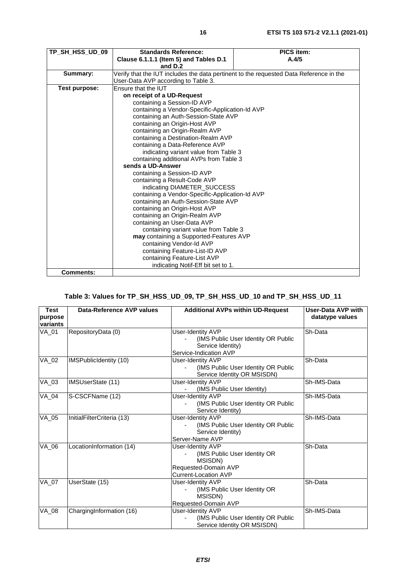| TP_SH_HSS_UD_09 | <b>Standards Reference:</b>                                                            | PICS item: |  |
|-----------------|----------------------------------------------------------------------------------------|------------|--|
|                 | Clause 6.1.1.1 (Item 5) and Tables D.1                                                 | A.4/5      |  |
|                 | and $D.2$                                                                              |            |  |
| Summary:        | Verify that the IUT includes the data pertinent to the requested Data Reference in the |            |  |
|                 | User-Data AVP according to Table 3.                                                    |            |  |
| Test purpose:   | Ensure that the IUT                                                                    |            |  |
|                 | on receipt of a UD-Request                                                             |            |  |
|                 | containing a Session-ID AVP                                                            |            |  |
|                 | containing a Vendor-Specific-Application-Id AVP                                        |            |  |
|                 | containing an Auth-Session-State AVP                                                   |            |  |
|                 | containing an Origin-Host AVP                                                          |            |  |
|                 | containing an Origin-Realm AVP                                                         |            |  |
|                 | containing a Destination-Realm AVP                                                     |            |  |
|                 | containing a Data-Reference AVP                                                        |            |  |
|                 | indicating variant value from Table 3                                                  |            |  |
|                 | containing additional AVPs from Table 3                                                |            |  |
|                 | sends a UD-Answer                                                                      |            |  |
|                 | containing a Session-ID AVP                                                            |            |  |
|                 | containing a Result-Code AVP                                                           |            |  |
|                 | indicating DIAMETER_SUCCESS                                                            |            |  |
|                 | containing a Vendor-Specific-Application-Id AVP                                        |            |  |
|                 | containing an Auth-Session-State AVP                                                   |            |  |
|                 | containing an Origin-Host AVP                                                          |            |  |
|                 | containing an Origin-Realm AVP                                                         |            |  |
|                 | containing an User-Data AVP                                                            |            |  |
|                 | containing variant value from Table 3                                                  |            |  |
|                 | may containing a Supported-Features AVP                                                |            |  |
|                 | containing Vendor-Id AVP                                                               |            |  |
|                 | containing Feature-List-ID AVP                                                         |            |  |
|                 | containing Feature-List AVP                                                            |            |  |
|                 | indicating Notif-Eff bit set to 1.                                                     |            |  |
| Comments:       |                                                                                        |            |  |

#### **Table 3: Values for TP\_SH\_HSS\_UD\_09, TP\_SH\_HSS\_UD\_10 and TP\_SH\_HSS\_UD\_11**

| <b>Test</b><br>purpose<br>variants | Data-Reference AVP values     | <b>Additional AVPs within UD-Request</b>                                                                     | User-Data AVP with<br>datatype values |
|------------------------------------|-------------------------------|--------------------------------------------------------------------------------------------------------------|---------------------------------------|
| VA_01                              | RepositoryData (0)            | User-Identity AVP<br>(IMS Public User Identity OR Public<br>Service Identity)<br>Service-Indication AVP      | Sh-Data                               |
| VA_02                              | <b>IMSPublicIdentity (10)</b> | User-Identity AVP<br>(IMS Public User Identity OR Public<br>Service Identity OR MSISDN)                      | Sh-Data                               |
| VA_03                              | IMSUserState (11)             | User-Identity AVP<br>(IMS Public User Identity)                                                              | Sh-IMS-Data                           |
| VA_04                              | S-CSCFName (12)               | User-Identity AVP<br>(IMS Public User Identity OR Public<br>Service Identity)                                | Sh-IMS-Data                           |
| VA_05                              | InitialFilterCriteria (13)    | User-Identity AVP<br>(IMS Public User Identity OR Public<br>Service Identity)<br>Server-Name AVP             | Sh-IMS-Data                           |
| VA_06                              | LocationInformation (14)      | User-Identity AVP<br>(IMS Public User Identity OR<br>MSISDN)<br>Requested-Domain AVP<br>Current-Location AVP | Sh-Data                               |
| VA_07                              | UserState (15)                | User-Identity AVP<br>(IMS Public User Identity OR<br><b>MSISDN)</b><br>Requested-Domain AVP                  | Sh-Data                               |
| VA_08                              | ChargingInformation (16)      | User-Identity AVP<br>(IMS Public User Identity OR Public<br>Service Identity OR MSISDN)                      | Sh-IMS-Data                           |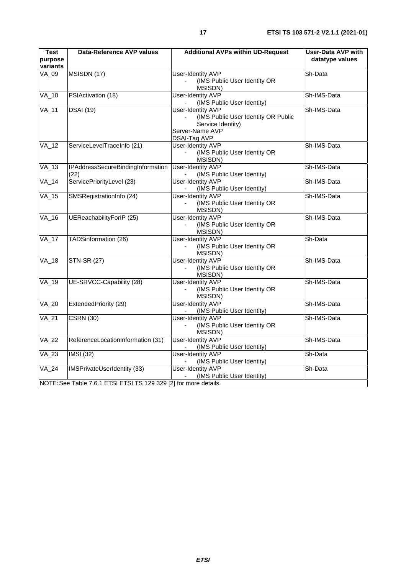| <b>Test</b><br>purpose | <b>Data-Reference AVP values</b>                                 | <b>Additional AVPs within UD-Request</b>                                                                                | <b>User-Data AVP with</b><br>datatype values |
|------------------------|------------------------------------------------------------------|-------------------------------------------------------------------------------------------------------------------------|----------------------------------------------|
| variants<br>VA_09      | MSISDN (17)                                                      | <b>User-Identity AVP</b>                                                                                                | Sh-Data                                      |
|                        |                                                                  | (IMS Public User Identity OR<br>MSISDN)                                                                                 |                                              |
| $VA_10$                | PSIActivation (18)                                               | <b>User-Identity AVP</b><br>(IMS Public User Identity)                                                                  | Sh-IMS-Data                                  |
| <b>VA_11</b>           | <b>DSAI</b> (19)                                                 | <b>User-Identity AVP</b><br>(IMS Public User Identity OR Public<br>Service Identity)<br>Server-Name AVP<br>DSAI-Tag AVP | Sh-IMS-Data                                  |
| <b>VA_12</b>           | ServiceLevelTraceInfo (21)                                       | <b>User-Identity AVP</b><br>(IMS Public User Identity OR<br>MSISDN)                                                     | Sh-IMS-Data                                  |
| $VA_13$                | IPAddressSecureBindingInformation<br>(22)                        | User-Identity AVP<br>(IMS Public User Identity)                                                                         | Sh-IMS-Data                                  |
| $VA_14$                | ServicePriorityLevel (23)                                        | <b>User-Identity AVP</b><br>(IMS Public User Identity)                                                                  | Sh-IMS-Data                                  |
| <b>VA_15</b>           | SMSRegistrationInfo (24)                                         | <b>User-Identity AVP</b><br>(IMS Public User Identity OR<br>MSISDN)                                                     | Sh-IMS-Data                                  |
| $VA_16$                | UEReachabilityForIP (25)                                         | User-Identity AVP<br>(IMS Public User Identity OR<br>MSISDN)                                                            | Sh-IMS-Data                                  |
| <b>VA_17</b>           | TADSinformation (26)                                             | <b>User-Identity AVP</b><br>(IMS Public User Identity OR<br>MSISDN)                                                     | Sh-Data                                      |
| <b>VA_18</b>           | <b>STN-SR (27)</b>                                               | User-Identity AVP<br>(IMS Public User Identity OR<br>MSISDN)                                                            | Sh-IMS-Data                                  |
| <b>VA_19</b>           | UE-SRVCC-Capability (28)                                         | User-Identity AVP<br>(IMS Public User Identity OR<br>MSISDN)                                                            | Sh-IMS-Data                                  |
| $VA_20$                | ExtendedPriority (29)                                            | User-Identity AVP<br>(IMS Public User Identity)                                                                         | Sh-IMS-Data                                  |
| $VA_21$                | <b>CSRN (30)</b>                                                 | <b>User-Identity AVP</b><br>(IMS Public User Identity OR<br>MSISDN)                                                     | Sh-IMS-Data                                  |
| <b>VA_22</b>           | ReferenceLocationInformation (31)                                | User-Identity AVP<br>(IMS Public User Identity)                                                                         | Sh-IMS-Data                                  |
| $VA_23$                | $\overline{\text{MSI}}(32)$                                      | <b>User-Identity AVP</b><br>(IMS Public User Identity)                                                                  | Sh-Data                                      |
| <b>VA 24</b>           | <b>IMSPrivateUserIdentity (33)</b>                               | <b>User-Identity AVP</b><br>(IMS Public User Identity)                                                                  | Sh-Data                                      |
|                        | NOTE: See Table 7.6.1 ETSI ETSI TS 129 329 [2] for more details. |                                                                                                                         |                                              |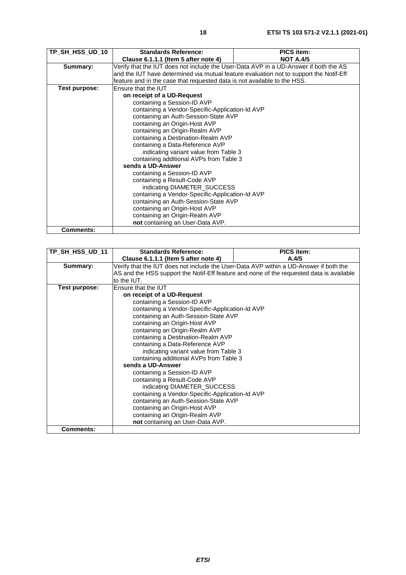| TP_SH_HSS_UD_10 | <b>Standards Reference:</b>                                                            | <b>PICS item:</b> |
|-----------------|----------------------------------------------------------------------------------------|-------------------|
|                 | Clause 6.1.1.1 (Item 5 after note 4)                                                   | <b>NOT A.4/5</b>  |
| Summary:        | Verify that the IUT does not include the User-Data AVP in a UD-Answer if both the AS   |                   |
|                 | and the IUT have determined via mutual feature evaluation not to support the Notif-Eff |                   |
|                 | feature and in the case that requested data is not available to the HSS.               |                   |
| Test purpose:   | Ensure that the IUT                                                                    |                   |
|                 | on receipt of a UD-Request                                                             |                   |
|                 | containing a Session-ID AVP                                                            |                   |
|                 | containing a Vendor-Specific-Application-Id AVP                                        |                   |
|                 | containing an Auth-Session-State AVP                                                   |                   |
|                 | containing an Origin-Host AVP                                                          |                   |
|                 | containing an Origin-Realm AVP                                                         |                   |
|                 | containing a Destination-Realm AVP                                                     |                   |
|                 | containing a Data-Reference AVP                                                        |                   |
|                 | indicating variant value from Table 3                                                  |                   |
|                 | containing additional AVPs from Table 3<br>sends a UD-Answer                           |                   |
|                 |                                                                                        |                   |
|                 | containing a Session-ID AVP                                                            |                   |
|                 | containing a Result-Code AVP                                                           |                   |
|                 | indicating DIAMETER_SUCCESS                                                            |                   |
|                 | containing a Vendor-Specific-Application-Id AVP                                        |                   |
|                 | containing an Auth-Session-State AVP                                                   |                   |
|                 | containing an Origin-Host AVP                                                          |                   |
|                 | containing an Origin-Realm AVP                                                         |                   |
| Comments:       | not containing an User-Data AVP.                                                       |                   |
|                 |                                                                                        |                   |

| TP_SH_HSS_UD_11<br>Clause 6.1.1.1 (Item 5 after note 4)<br>A.4/5                                  |                                      |  |
|---------------------------------------------------------------------------------------------------|--------------------------------------|--|
|                                                                                                   |                                      |  |
| Verify that the IUT does not include the User-Data AVP within a UD-Answer if both the<br>Summary: |                                      |  |
| AS and the HSS support the Notif-Eff feature and none of the requested data is available          |                                      |  |
| to the IUT.                                                                                       |                                      |  |
| Ensure that the IUT<br>Test purpose:                                                              |                                      |  |
| on receipt of a UD-Request                                                                        |                                      |  |
| containing a Session-ID AVP                                                                       |                                      |  |
| containing a Vendor-Specific-Application-Id AVP                                                   |                                      |  |
|                                                                                                   | containing an Auth-Session-State AVP |  |
|                                                                                                   | containing an Origin-Host AVP        |  |
|                                                                                                   | containing an Origin-Realm AVP       |  |
|                                                                                                   | containing a Destination-Realm AVP   |  |
| containing a Data-Reference AVP                                                                   |                                      |  |
| indicating variant value from Table 3                                                             |                                      |  |
| containing additional AVPs from Table 3                                                           |                                      |  |
| sends a UD-Answer                                                                                 |                                      |  |
|                                                                                                   | containing a Session-ID AVP          |  |
|                                                                                                   | containing a Result-Code AVP         |  |
| indicating DIAMETER_SUCCESS                                                                       |                                      |  |
| containing a Vendor-Specific-Application-Id AVP<br>containing an Auth-Session-State AVP           |                                      |  |
|                                                                                                   |                                      |  |
| containing an Origin-Host AVP<br>containing an Origin-Realm AVP                                   |                                      |  |
| not containing an User-Data AVP.                                                                  |                                      |  |
| <b>Comments:</b>                                                                                  |                                      |  |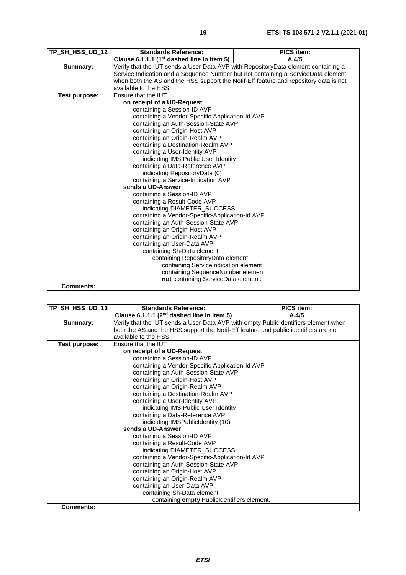| TP_SH_HSS_UD_12  | <b>Standards Reference:</b>                                                           | <b>PICS item:</b>                    |  |
|------------------|---------------------------------------------------------------------------------------|--------------------------------------|--|
|                  | Clause 6.1.1.1 (1 <sup>st</sup> dashed line in item 5)                                | A.4/5                                |  |
| Summary:         | Verify that the IUT sends a User Data AVP with RepositoryData element containing a    |                                      |  |
|                  | Service Indication and a Sequence Number but not containing a ServiceData element     |                                      |  |
|                  | when both the AS and the HSS support the Notif-Eff feature and repository data is not |                                      |  |
|                  | available to the HSS.                                                                 |                                      |  |
| Test purpose:    | Ensure that the IUT                                                                   |                                      |  |
|                  | on receipt of a UD-Request                                                            |                                      |  |
|                  | containing a Session-ID AVP                                                           |                                      |  |
|                  | containing a Vendor-Specific-Application-Id AVP                                       |                                      |  |
|                  |                                                                                       | containing an Auth-Session-State AVP |  |
|                  | containing an Origin-Host AVP                                                         |                                      |  |
|                  | containing an Origin-Realm AVP                                                        |                                      |  |
|                  | containing a Destination-Realm AVP                                                    |                                      |  |
|                  | containing a User-Identity AVP                                                        |                                      |  |
|                  | indicating IMS Public User Identity                                                   |                                      |  |
|                  | containing a Data-Reference AVP                                                       |                                      |  |
|                  | indicating RepositoryData (0)                                                         |                                      |  |
|                  | containing a Service-Indication AVP                                                   |                                      |  |
|                  | sends a UD-Answer                                                                     |                                      |  |
|                  | containing a Session-ID AVP                                                           |                                      |  |
|                  | containing a Result-Code AVP                                                          |                                      |  |
|                  | indicating DIAMETER SUCCESS                                                           |                                      |  |
|                  | containing a Vendor-Specific-Application-Id AVP                                       |                                      |  |
|                  | containing an Auth-Session-State AVP                                                  |                                      |  |
|                  | containing an Origin-Host AVP                                                         |                                      |  |
|                  | containing an Origin-Realm AVP                                                        |                                      |  |
|                  | containing an User-Data AVP                                                           |                                      |  |
|                  | containing Sh-Data element                                                            |                                      |  |
|                  | containing RepositoryData element                                                     |                                      |  |
|                  | containing ServiceIndication element                                                  |                                      |  |
|                  | containing SequenceNumber element                                                     |                                      |  |
|                  | not containing ServiceData element.                                                   |                                      |  |
| <b>Comments:</b> |                                                                                       |                                      |  |

| TP SH HSS UD 13 | <b>Standards Reference:</b>                                                          | <b>PICS item:</b> |
|-----------------|--------------------------------------------------------------------------------------|-------------------|
|                 | Clause 6.1.1.1 ( $2nd$ dashed line in item 5)                                        | A.4/5             |
| Summary:        | Verify that the IUT sends a User Data AVP with empty PublicIdentifiers element when  |                   |
|                 | both the AS and the HSS support the Notif-Eff feature and public identifiers are not |                   |
|                 | available to the HSS.                                                                |                   |
| Test purpose:   | Ensure that the IUT                                                                  |                   |
|                 | on receipt of a UD-Request                                                           |                   |
|                 | containing a Session-ID AVP                                                          |                   |
|                 | containing a Vendor-Specific-Application-Id AVP                                      |                   |
|                 | containing an Auth-Session-State AVP                                                 |                   |
|                 | containing an Origin-Host AVP                                                        |                   |
|                 | containing an Origin-Realm AVP                                                       |                   |
|                 | containing a Destination-Realm AVP                                                   |                   |
|                 | containing a User-Identity AVP                                                       |                   |
|                 | indicating IMS Public User Identity                                                  |                   |
|                 | containing a Data-Reference AVP                                                      |                   |
|                 | indicating IMSPublicIdentity (10)                                                    |                   |
|                 | sends a UD-Answer                                                                    |                   |
|                 | containing a Session-ID AVP                                                          |                   |
|                 | containing a Result-Code AVP                                                         |                   |
|                 | indicating DIAMETER_SUCCESS                                                          |                   |
|                 | containing a Vendor-Specific-Application-Id AVP                                      |                   |
|                 | containing an Auth-Session-State AVP                                                 |                   |
|                 | containing an Origin-Host AVP                                                        |                   |
|                 | containing an Origin-Realm AVP                                                       |                   |
|                 | containing an User-Data AVP                                                          |                   |
|                 | containing Sh-Data element                                                           |                   |
|                 | containing <b>empty</b> Public dentifiers element.                                   |                   |
| Comments:       |                                                                                      |                   |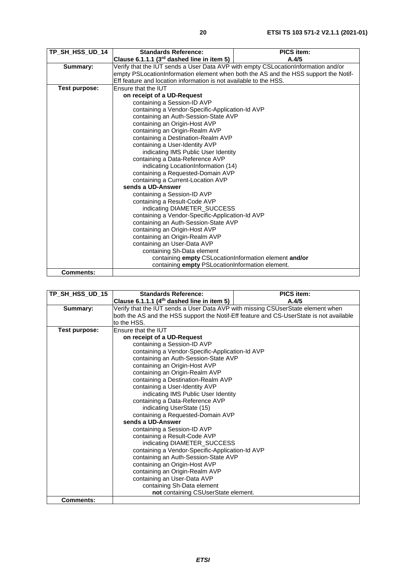| TP_SH_HSS_UD_14  | <b>Standards Reference:</b>                                                       | <b>PICS item:</b>                                                                   |
|------------------|-----------------------------------------------------------------------------------|-------------------------------------------------------------------------------------|
|                  | Clause 6.1.1.1 (3 <sup>rd</sup> dashed line in item 5)                            | A.4/5                                                                               |
| Summary:         | Verify that the IUT sends a User Data AVP with empty CSLocationInformation and/or |                                                                                     |
|                  |                                                                                   | empty PSLocationInformation element when both the AS and the HSS support the Notif- |
|                  | Eff feature and location information is not available to the HSS.                 |                                                                                     |
| Test purpose:    | Ensure that the IUT                                                               |                                                                                     |
|                  | on receipt of a UD-Request                                                        |                                                                                     |
|                  | containing a Session-ID AVP                                                       |                                                                                     |
|                  | containing a Vendor-Specific-Application-Id AVP                                   |                                                                                     |
|                  | containing an Auth-Session-State AVP                                              |                                                                                     |
|                  | containing an Origin-Host AVP                                                     |                                                                                     |
|                  | containing an Origin-Realm AVP                                                    |                                                                                     |
|                  | containing a Destination-Realm AVP                                                |                                                                                     |
|                  | containing a User-Identity AVP                                                    |                                                                                     |
|                  | indicating IMS Public User Identity                                               |                                                                                     |
|                  | containing a Data-Reference AVP                                                   |                                                                                     |
|                  | indicating LocationInformation (14)                                               |                                                                                     |
|                  | containing a Requested-Domain AVP                                                 |                                                                                     |
|                  | containing a Current-Location AVP                                                 |                                                                                     |
|                  | sends a UD-Answer                                                                 |                                                                                     |
|                  | containing a Session-ID AVP                                                       |                                                                                     |
|                  | containing a Result-Code AVP                                                      |                                                                                     |
|                  | indicating DIAMETER SUCCESS                                                       |                                                                                     |
|                  | containing a Vendor-Specific-Application-Id AVP                                   |                                                                                     |
|                  | containing an Auth-Session-State AVP                                              |                                                                                     |
|                  | containing an Origin-Host AVP                                                     |                                                                                     |
|                  | containing an Origin-Realm AVP                                                    |                                                                                     |
|                  | containing an User-Data AVP                                                       |                                                                                     |
|                  | containing Sh-Data element                                                        |                                                                                     |
|                  | containing empty CSLocationInformation element and/or                             |                                                                                     |
|                  | containing empty PSLocationInformation element.                                   |                                                                                     |
| <b>Comments:</b> |                                                                                   |                                                                                     |

| TP_SH_HSS_UD_15  | <b>Standards Reference:</b>                                                     | PICS item:                                                                              |
|------------------|---------------------------------------------------------------------------------|-----------------------------------------------------------------------------------------|
|                  | Clause 6.1.1.1 ( $4th$ dashed line in item 5)                                   | A.4/5                                                                                   |
| Summary:         | Verify that the IUT sends a User Data AVP with missing CSUserState element when |                                                                                         |
|                  |                                                                                 | both the AS and the HSS support the Notif-Eff feature and CS-UserState is not available |
|                  | to the HSS.                                                                     |                                                                                         |
| Test purpose:    | Ensure that the IUT                                                             |                                                                                         |
|                  | on receipt of a UD-Request                                                      |                                                                                         |
|                  | containing a Session-ID AVP                                                     |                                                                                         |
|                  | containing a Vendor-Specific-Application-Id AVP                                 |                                                                                         |
|                  | containing an Auth-Session-State AVP                                            |                                                                                         |
|                  | containing an Origin-Host AVP                                                   |                                                                                         |
|                  | containing an Origin-Realm AVP                                                  |                                                                                         |
|                  | containing a Destination-Realm AVP                                              |                                                                                         |
|                  | containing a User-Identity AVP                                                  |                                                                                         |
|                  | indicating IMS Public User Identity                                             |                                                                                         |
|                  | containing a Data-Reference AVP                                                 |                                                                                         |
|                  | indicating UserState (15)                                                       |                                                                                         |
|                  | containing a Requested-Domain AVP<br>sends a UD-Answer                          |                                                                                         |
|                  |                                                                                 |                                                                                         |
|                  | containing a Session-ID AVP<br>containing a Result-Code AVP                     |                                                                                         |
|                  |                                                                                 |                                                                                         |
|                  | indicating DIAMETER_SUCCESS<br>containing a Vendor-Specific-Application-Id AVP  |                                                                                         |
|                  | containing an Auth-Session-State AVP                                            |                                                                                         |
|                  | containing an Origin-Host AVP                                                   |                                                                                         |
|                  | containing an Origin-Realm AVP                                                  |                                                                                         |
|                  | containing an User-Data AVP                                                     |                                                                                         |
|                  | containing Sh-Data element                                                      |                                                                                         |
|                  | not containing CSUserState element.                                             |                                                                                         |
| <b>Comments:</b> |                                                                                 |                                                                                         |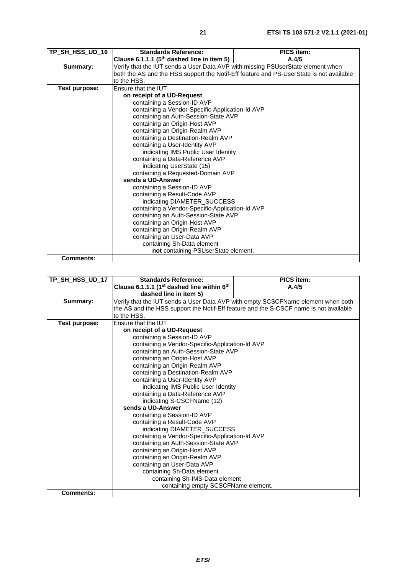| TP_SH_HSS_UD_16  | <b>Standards Reference:</b>                                                     | <b>PICS item:</b>                                                                       |
|------------------|---------------------------------------------------------------------------------|-----------------------------------------------------------------------------------------|
|                  | Clause 6.1.1.1 ( $5th$ dashed line in item 5)                                   | A.4/5                                                                                   |
| Summary:         | Verify that the IUT sends a User Data AVP with missing PSUserState element when |                                                                                         |
|                  |                                                                                 | both the AS and the HSS support the Notif-Eff feature and PS-UserState is not available |
|                  | to the HSS.                                                                     |                                                                                         |
| Test purpose:    | Ensure that the IUT                                                             |                                                                                         |
|                  | on receipt of a UD-Request                                                      |                                                                                         |
|                  | containing a Session-ID AVP                                                     |                                                                                         |
|                  | containing a Vendor-Specific-Application-Id AVP                                 |                                                                                         |
|                  | containing an Auth-Session-State AVP                                            |                                                                                         |
|                  | containing an Origin-Host AVP                                                   |                                                                                         |
|                  | containing an Origin-Realm AVP                                                  |                                                                                         |
|                  | containing a Destination-Realm AVP                                              |                                                                                         |
|                  | containing a User-Identity AVP                                                  |                                                                                         |
|                  | indicating IMS Public User Identity                                             |                                                                                         |
|                  | containing a Data-Reference AVP                                                 |                                                                                         |
|                  | indicating UserState (15)                                                       |                                                                                         |
|                  | containing a Requested-Domain AVP<br>sends a UD-Answer                          |                                                                                         |
|                  | containing a Session-ID AVP                                                     |                                                                                         |
|                  | containing a Result-Code AVP                                                    |                                                                                         |
|                  | indicating DIAMETER_SUCCESS                                                     |                                                                                         |
|                  | containing a Vendor-Specific-Application-Id AVP                                 |                                                                                         |
|                  | containing an Auth-Session-State AVP                                            |                                                                                         |
|                  | containing an Origin-Host AVP                                                   |                                                                                         |
|                  | containing an Origin-Realm AVP                                                  |                                                                                         |
|                  | containing an User-Data AVP                                                     |                                                                                         |
|                  | containing Sh-Data element                                                      |                                                                                         |
|                  | not containing PSUserState element.                                             |                                                                                         |
| <b>Comments:</b> |                                                                                 |                                                                                         |

| TP SH HSS UD 17  | <b>Standards Reference:</b>                                                           | <b>PICS item:</b>                                                                |
|------------------|---------------------------------------------------------------------------------------|----------------------------------------------------------------------------------|
|                  | Clause 6.1.1.1 (1 <sup>st</sup> dashed line within $6th$                              | A.4/5                                                                            |
|                  | dashed line in item 5)                                                                |                                                                                  |
| Summary:         |                                                                                       | Verify that the IUT sends a User Data AVP with empty SCSCFName element when both |
|                  | the AS and the HSS support the Notif-Eff feature and the S-CSCF name is not available |                                                                                  |
|                  | to the HSS.                                                                           |                                                                                  |
| Test purpose:    | Ensure that the IUT                                                                   |                                                                                  |
|                  | on receipt of a UD-Request                                                            |                                                                                  |
|                  | containing a Session-ID AVP                                                           |                                                                                  |
|                  | containing a Vendor-Specific-Application-Id AVP                                       |                                                                                  |
|                  | containing an Auth-Session-State AVP                                                  |                                                                                  |
|                  | containing an Origin-Host AVP                                                         |                                                                                  |
|                  | containing an Origin-Realm AVP                                                        |                                                                                  |
|                  | containing a Destination-Realm AVP                                                    |                                                                                  |
|                  | containing a User-Identity AVP                                                        |                                                                                  |
|                  | indicating IMS Public User Identity                                                   |                                                                                  |
|                  | containing a Data-Reference AVP                                                       |                                                                                  |
|                  | indicating S-CSCFName (12)                                                            |                                                                                  |
|                  | sends a UD-Answer                                                                     |                                                                                  |
|                  | containing a Session-ID AVP                                                           |                                                                                  |
|                  | containing a Result-Code AVP                                                          |                                                                                  |
|                  | indicating DIAMETER_SUCCESS                                                           |                                                                                  |
|                  | containing a Vendor-Specific-Application-Id AVP                                       |                                                                                  |
|                  | containing an Auth-Session-State AVP                                                  |                                                                                  |
|                  | containing an Origin-Host AVP                                                         |                                                                                  |
|                  | containing an Origin-Realm AVP                                                        |                                                                                  |
|                  | containing an User-Data AVP                                                           |                                                                                  |
|                  | containing Sh-Data element                                                            |                                                                                  |
|                  | containing Sh-IMS-Data element                                                        |                                                                                  |
|                  | containing empty SCSCFName element.                                                   |                                                                                  |
| <b>Comments:</b> |                                                                                       |                                                                                  |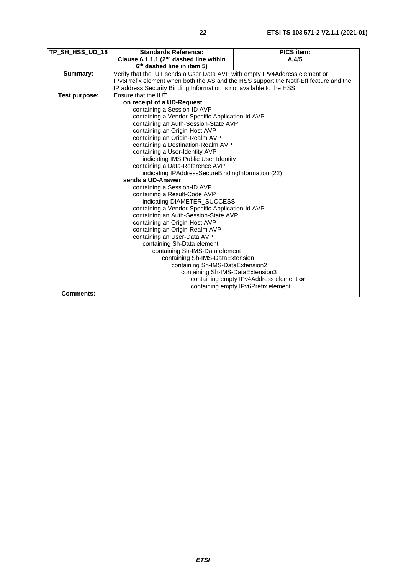| TP_SH_HSS_UD_18  | <b>Standards Reference:</b>                                                             | <b>PICS item:</b>                       |
|------------------|-----------------------------------------------------------------------------------------|-----------------------------------------|
|                  | Clause 6.1.1.1 ( $2nd$ dashed line within                                               | A.4/5                                   |
|                  | 6 <sup>th</sup> dashed line in item 5)                                                  |                                         |
| Summary:         | Verify that the IUT sends a User Data AVP with empty IPv4Address element or             |                                         |
|                  | IPv6Prefix element when both the AS and the HSS support the Notif-Eff feature and the   |                                         |
|                  | IP address Security Binding Information is not available to the HSS.                    |                                         |
| Test purpose:    | Ensure that the IUT                                                                     |                                         |
|                  | on receipt of a UD-Request                                                              |                                         |
|                  | containing a Session-ID AVP                                                             |                                         |
|                  | containing a Vendor-Specific-Application-Id AVP                                         |                                         |
|                  | containing an Auth-Session-State AVP                                                    |                                         |
|                  | containing an Origin-Host AVP                                                           |                                         |
|                  | containing an Origin-Realm AVP                                                          |                                         |
|                  | containing a Destination-Realm AVP                                                      |                                         |
|                  | containing a User-Identity AVP                                                          |                                         |
|                  | indicating IMS Public User Identity                                                     |                                         |
|                  | containing a Data-Reference AVP                                                         |                                         |
|                  | indicating IPAddressSecureBindingInformation (22)<br>sends a UD-Answer                  |                                         |
|                  |                                                                                         |                                         |
|                  | containing a Session-ID AVP<br>containing a Result-Code AVP                             |                                         |
|                  | indicating DIAMETER SUCCESS                                                             |                                         |
|                  |                                                                                         |                                         |
|                  | containing a Vendor-Specific-Application-Id AVP<br>containing an Auth-Session-State AVP |                                         |
|                  | containing an Origin-Host AVP                                                           |                                         |
|                  | containing an Origin-Realm AVP                                                          |                                         |
|                  | containing an User-Data AVP                                                             |                                         |
|                  | containing Sh-Data element                                                              |                                         |
|                  | containing Sh-IMS-Data element                                                          |                                         |
|                  | containing Sh-IMS-DataExtension                                                         |                                         |
|                  | containing Sh-IMS-DataExtension2                                                        |                                         |
|                  | containing Sh-IMS-DataExtension3                                                        |                                         |
|                  |                                                                                         | containing empty IPv4Address element or |
|                  | containing empty IPv6Prefix element.                                                    |                                         |
| <b>Comments:</b> |                                                                                         |                                         |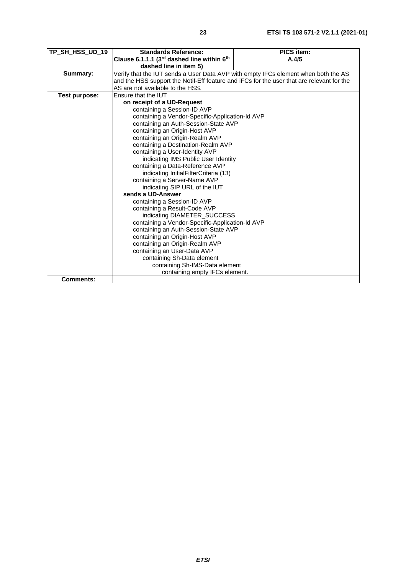| TP_SH_HSS_UD_19  | <b>Standards Reference:</b>                                                               | <b>PICS item:</b> |
|------------------|-------------------------------------------------------------------------------------------|-------------------|
|                  | Clause 6.1.1.1 (3rd dashed line within 6th                                                | A.4/5             |
|                  | dashed line in item 5)                                                                    |                   |
| Summary:         | Verify that the IUT sends a User Data AVP with empty IFCs element when both the AS        |                   |
|                  | and the HSS support the Notif-Eff feature and iFCs for the user that are relevant for the |                   |
|                  | AS are not available to the HSS.                                                          |                   |
| Test purpose:    | Ensure that the IUT                                                                       |                   |
|                  | on receipt of a UD-Request                                                                |                   |
|                  | containing a Session-ID AVP                                                               |                   |
|                  | containing a Vendor-Specific-Application-Id AVP                                           |                   |
|                  | containing an Auth-Session-State AVP                                                      |                   |
|                  | containing an Origin-Host AVP                                                             |                   |
|                  | containing an Origin-Realm AVP                                                            |                   |
|                  | containing a Destination-Realm AVP                                                        |                   |
|                  | containing a User-Identity AVP                                                            |                   |
|                  | indicating IMS Public User Identity                                                       |                   |
|                  | containing a Data-Reference AVP                                                           |                   |
|                  | indicating InitialFilterCriteria (13)                                                     |                   |
|                  | containing a Server-Name AVP                                                              |                   |
|                  | indicating SIP URL of the IUT                                                             |                   |
|                  | sends a UD-Answer                                                                         |                   |
|                  | containing a Session-ID AVP                                                               |                   |
|                  | containing a Result-Code AVP                                                              |                   |
|                  | indicating DIAMETER SUCCESS                                                               |                   |
|                  | containing a Vendor-Specific-Application-Id AVP                                           |                   |
|                  | containing an Auth-Session-State AVP                                                      |                   |
|                  | containing an Origin-Host AVP                                                             |                   |
|                  | containing an Origin-Realm AVP                                                            |                   |
|                  | containing an User-Data AVP                                                               |                   |
|                  | containing Sh-Data element                                                                |                   |
|                  | containing Sh-IMS-Data element                                                            |                   |
|                  | containing empty IFCs element.                                                            |                   |
| <b>Comments:</b> |                                                                                           |                   |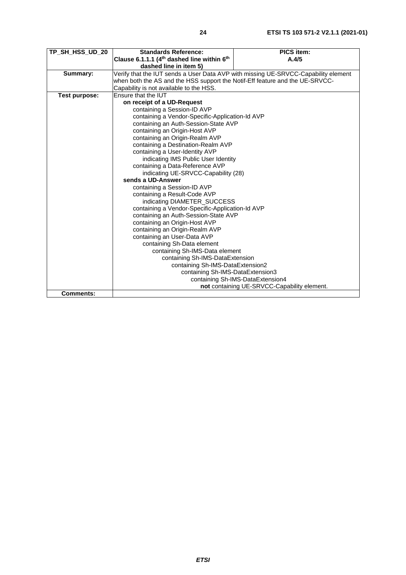| TP_SH_HSS_UD_20  | <b>Standards Reference:</b>                                                        | <b>PICS item:</b>                           |
|------------------|------------------------------------------------------------------------------------|---------------------------------------------|
|                  | Clause 6.1.1.1 ( $4th$ dashed line within $6th$                                    | A.4/5                                       |
|                  | dashed line in item 5)                                                             |                                             |
| Summary:         | Verify that the IUT sends a User Data AVP with missing UE-SRVCC-Capability element |                                             |
|                  | when both the AS and the HSS support the Notif-Eff feature and the UE-SRVCC-       |                                             |
|                  | Capability is not available to the HSS.                                            |                                             |
| Test purpose:    | Ensure that the IUT                                                                |                                             |
|                  | on receipt of a UD-Request                                                         |                                             |
|                  | containing a Session-ID AVP                                                        |                                             |
|                  | containing a Vendor-Specific-Application-Id AVP                                    |                                             |
|                  | containing an Auth-Session-State AVP                                               |                                             |
|                  | containing an Origin-Host AVP                                                      |                                             |
|                  | containing an Origin-Realm AVP                                                     |                                             |
|                  | containing a Destination-Realm AVP                                                 |                                             |
|                  | containing a User-Identity AVP                                                     |                                             |
|                  | indicating IMS Public User Identity                                                |                                             |
|                  | containing a Data-Reference AVP                                                    |                                             |
|                  | indicating UE-SRVCC-Capability (28)                                                |                                             |
|                  | sends a UD-Answer                                                                  |                                             |
|                  | containing a Session-ID AVP                                                        |                                             |
|                  | containing a Result-Code AVP                                                       |                                             |
|                  | indicating DIAMETER SUCCESS                                                        |                                             |
|                  | containing a Vendor-Specific-Application-Id AVP                                    |                                             |
|                  | containing an Auth-Session-State AVP<br>containing an Origin-Host AVP              |                                             |
|                  |                                                                                    |                                             |
|                  | containing an Origin-Realm AVP<br>containing an User-Data AVP                      |                                             |
|                  | containing Sh-Data element                                                         |                                             |
|                  | containing Sh-IMS-Data element                                                     |                                             |
|                  | containing Sh-IMS-DataExtension                                                    |                                             |
|                  | containing Sh-IMS-DataExtension2                                                   |                                             |
|                  | containing Sh-IMS-DataExtension3                                                   |                                             |
|                  |                                                                                    | containing Sh-IMS-DataExtension4            |
|                  |                                                                                    | not containing UE-SRVCC-Capability element. |
| <b>Comments:</b> |                                                                                    |                                             |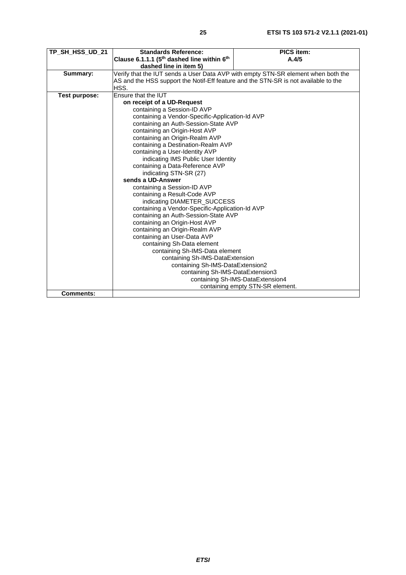| TP_SH_HSS_UD_21  | <b>Standards Reference:</b>                                                         | <b>PICS item:</b>                |
|------------------|-------------------------------------------------------------------------------------|----------------------------------|
|                  | Clause 6.1.1.1 (5 <sup>th</sup> dashed line within 6 <sup>th</sup>                  | A.4/5                            |
|                  | dashed line in item 5)                                                              |                                  |
| Summary:         | Verify that the IUT sends a User Data AVP with empty STN-SR element when both the   |                                  |
|                  | AS and the HSS support the Notif-Eff feature and the STN-SR is not available to the |                                  |
|                  | HSS.                                                                                |                                  |
| Test purpose:    | Ensure that the IUT                                                                 |                                  |
|                  | on receipt of a UD-Request                                                          |                                  |
|                  | containing a Session-ID AVP                                                         |                                  |
|                  | containing a Vendor-Specific-Application-Id AVP                                     |                                  |
|                  | containing an Auth-Session-State AVP                                                |                                  |
|                  | containing an Origin-Host AVP                                                       |                                  |
|                  | containing an Origin-Realm AVP                                                      |                                  |
|                  | containing a Destination-Realm AVP                                                  |                                  |
|                  | containing a User-Identity AVP                                                      |                                  |
|                  | indicating IMS Public User Identity                                                 |                                  |
|                  | containing a Data-Reference AVP                                                     |                                  |
|                  | indicating STN-SR (27)                                                              |                                  |
|                  | sends a UD-Answer                                                                   |                                  |
|                  | containing a Session-ID AVP                                                         |                                  |
|                  | containing a Result-Code AVP                                                        |                                  |
|                  | indicating DIAMETER_SUCCESS                                                         |                                  |
|                  | containing a Vendor-Specific-Application-Id AVP                                     |                                  |
|                  | containing an Auth-Session-State AVP                                                |                                  |
|                  | containing an Origin-Host AVP                                                       |                                  |
|                  | containing an Origin-Realm AVP                                                      |                                  |
|                  | containing an User-Data AVP                                                         |                                  |
|                  | containing Sh-Data element                                                          |                                  |
|                  | containing Sh-IMS-Data element                                                      |                                  |
|                  | containing Sh-IMS-DataExtension                                                     |                                  |
|                  | containing Sh-IMS-DataExtension2                                                    |                                  |
|                  | containing Sh-IMS-DataExtension3                                                    |                                  |
|                  |                                                                                     | containing Sh-IMS-DataExtension4 |
|                  |                                                                                     | containing empty STN-SR element. |
| <b>Comments:</b> |                                                                                     |                                  |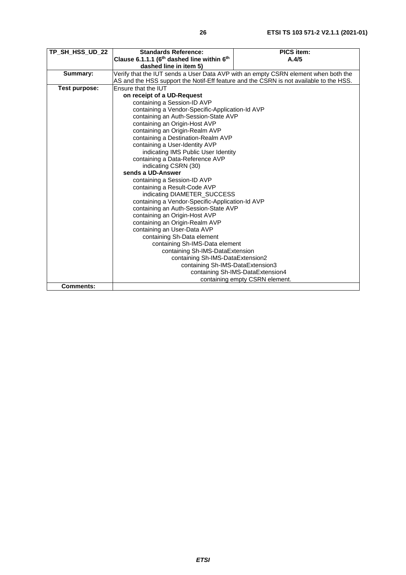| TP_SH_HSS_UD_22  | <b>Standards Reference:</b>                                                            | <b>PICS item:</b>                |
|------------------|----------------------------------------------------------------------------------------|----------------------------------|
|                  | Clause 6.1.1.1 (6 <sup>th</sup> dashed line within 6 <sup>th</sup>                     | A.4/5                            |
|                  | dashed line in item 5)                                                                 |                                  |
| Summary:         | Verify that the IUT sends a User Data AVP with an empty CSRN element when both the     |                                  |
|                  | AS and the HSS support the Notif-Eff feature and the CSRN is not available to the HSS. |                                  |
| Test purpose:    | Ensure that the IUT                                                                    |                                  |
|                  | on receipt of a UD-Request                                                             |                                  |
|                  | containing a Session-ID AVP                                                            |                                  |
|                  | containing a Vendor-Specific-Application-Id AVP                                        |                                  |
|                  | containing an Auth-Session-State AVP                                                   |                                  |
|                  | containing an Origin-Host AVP                                                          |                                  |
|                  | containing an Origin-Realm AVP                                                         |                                  |
|                  | containing a Destination-Realm AVP                                                     |                                  |
|                  | containing a User-Identity AVP                                                         |                                  |
|                  | indicating IMS Public User Identity                                                    |                                  |
|                  | containing a Data-Reference AVP                                                        |                                  |
|                  | indicating CSRN (30)                                                                   |                                  |
|                  | sends a UD-Answer                                                                      |                                  |
|                  | containing a Session-ID AVP                                                            |                                  |
|                  | containing a Result-Code AVP                                                           |                                  |
|                  | indicating DIAMETER_SUCCESS                                                            |                                  |
|                  | containing a Vendor-Specific-Application-Id AVP                                        |                                  |
|                  | containing an Auth-Session-State AVP                                                   |                                  |
|                  | containing an Origin-Host AVP                                                          |                                  |
|                  | containing an Origin-Realm AVP                                                         |                                  |
|                  | containing an User-Data AVP                                                            |                                  |
|                  | containing Sh-Data element                                                             |                                  |
|                  | containing Sh-IMS-Data element                                                         |                                  |
|                  | containing Sh-IMS-DataExtension                                                        |                                  |
|                  | containing Sh-IMS-DataExtension2                                                       |                                  |
|                  | containing Sh-IMS-DataExtension3                                                       |                                  |
|                  |                                                                                        | containing Sh-IMS-DataExtension4 |
|                  |                                                                                        | containing empty CSRN element.   |
| <b>Comments:</b> |                                                                                        |                                  |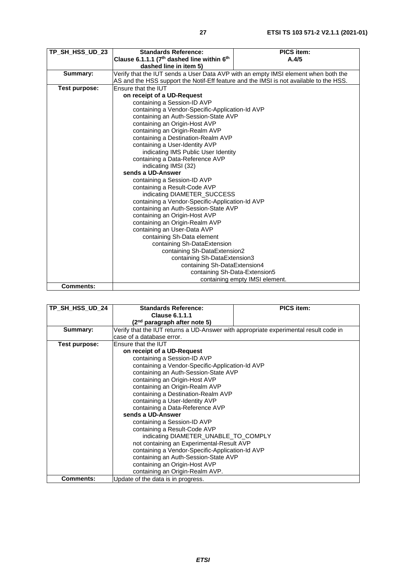| TP_SH_HSS_UD_23  | <b>Standards Reference:</b>                                                            | <b>PICS item:</b>              |
|------------------|----------------------------------------------------------------------------------------|--------------------------------|
|                  | Clause 6.1.1.1 (7 <sup>th</sup> dashed line within 6 <sup>th</sup>                     | A.4/5                          |
|                  | dashed line in item 5)                                                                 |                                |
| Summary:         | Verify that the IUT sends a User Data AVP with an empty IMSI element when both the     |                                |
|                  | AS and the HSS support the Notif-Eff feature and the IMSI is not available to the HSS. |                                |
| Test purpose:    | Ensure that the IUT                                                                    |                                |
|                  | on receipt of a UD-Request                                                             |                                |
|                  | containing a Session-ID AVP                                                            |                                |
|                  | containing a Vendor-Specific-Application-Id AVP                                        |                                |
|                  | containing an Auth-Session-State AVP                                                   |                                |
|                  | containing an Origin-Host AVP                                                          |                                |
|                  | containing an Origin-Realm AVP                                                         |                                |
|                  | containing a Destination-Realm AVP                                                     |                                |
|                  | containing a User-Identity AVP                                                         |                                |
|                  | indicating IMS Public User Identity                                                    |                                |
|                  | containing a Data-Reference AVP                                                        |                                |
|                  | indicating IMSI (32)                                                                   |                                |
|                  | sends a UD-Answer                                                                      |                                |
|                  | containing a Session-ID AVP                                                            |                                |
|                  | containing a Result-Code AVP                                                           |                                |
|                  | indicating DIAMETER SUCCESS                                                            |                                |
|                  | containing a Vendor-Specific-Application-Id AVP                                        |                                |
|                  | containing an Auth-Session-State AVP                                                   |                                |
|                  | containing an Origin-Host AVP                                                          |                                |
|                  | containing an Origin-Realm AVP                                                         |                                |
|                  | containing an User-Data AVP                                                            |                                |
|                  | containing Sh-Data element                                                             |                                |
|                  | containing Sh-DataExtension                                                            |                                |
|                  | containing Sh-DataExtension2                                                           |                                |
|                  | containing Sh-DataExtension3                                                           |                                |
|                  | containing Sh-DataExtension4                                                           |                                |
|                  | containing Sh-Data-Extension5                                                          |                                |
|                  |                                                                                        | containing empty IMSI element. |
| <b>Comments:</b> |                                                                                        |                                |

| TP SH HSS UD 24  | <b>Standards Reference:</b>                                                          | <b>PICS item:</b> |
|------------------|--------------------------------------------------------------------------------------|-------------------|
|                  | Clause 6.1.1.1                                                                       |                   |
|                  | (2 <sup>nd</sup> paragraph after note 5)                                             |                   |
| Summary:         | Verify that the IUT returns a UD-Answer with appropriate experimental result code in |                   |
|                  | case of a database error.                                                            |                   |
| Test purpose:    | Ensure that the IUT                                                                  |                   |
|                  | on receipt of a UD-Request                                                           |                   |
|                  | containing a Session-ID AVP                                                          |                   |
|                  | containing a Vendor-Specific-Application-Id AVP                                      |                   |
|                  | containing an Auth-Session-State AVP                                                 |                   |
|                  | containing an Origin-Host AVP                                                        |                   |
|                  | containing an Origin-Realm AVP                                                       |                   |
|                  | containing a Destination-Realm AVP                                                   |                   |
|                  | containing a User-Identity AVP                                                       |                   |
|                  | containing a Data-Reference AVP                                                      |                   |
|                  | sends a UD-Answer                                                                    |                   |
|                  | containing a Session-ID AVP                                                          |                   |
|                  | containing a Result-Code AVP                                                         |                   |
|                  | indicating DIAMETER_UNABLE_TO_COMPLY                                                 |                   |
|                  | not containing an Experimental-Result AVP                                            |                   |
|                  | containing a Vendor-Specific-Application-Id AVP                                      |                   |
|                  | containing an Auth-Session-State AVP                                                 |                   |
|                  | containing an Origin-Host AVP                                                        |                   |
|                  | containing an Origin-Realm AVP.                                                      |                   |
| <b>Comments:</b> | Update of the data is in progress.                                                   |                   |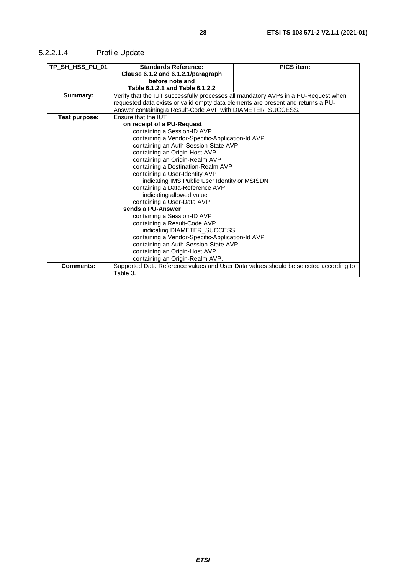<span id="page-27-0"></span>

| TP_SH_HSS_PU_01  | <b>Standards Reference:</b>                                                        | <b>PICS item:</b>                                                                    |
|------------------|------------------------------------------------------------------------------------|--------------------------------------------------------------------------------------|
|                  | Clause 6.1.2 and 6.1.2.1/paragraph                                                 |                                                                                      |
|                  | before note and                                                                    |                                                                                      |
|                  | Table 6.1.2.1 and Table 6.1.2.2                                                    |                                                                                      |
| Summary:         | Verify that the IUT successfully processes all mandatory AVPs in a PU-Request when |                                                                                      |
|                  | requested data exists or valid empty data elements are present and returns a PU-   |                                                                                      |
|                  | Answer containing a Result-Code AVP with DIAMETER_SUCCESS.                         |                                                                                      |
| Test purpose:    | Ensure that the IUT                                                                |                                                                                      |
|                  | on receipt of a PU-Request                                                         |                                                                                      |
|                  | containing a Session-ID AVP                                                        |                                                                                      |
|                  | containing a Vendor-Specific-Application-Id AVP                                    |                                                                                      |
|                  | containing an Auth-Session-State AVP                                               |                                                                                      |
|                  | containing an Origin-Host AVP                                                      |                                                                                      |
|                  | containing an Origin-Realm AVP                                                     |                                                                                      |
|                  | containing a Destination-Realm AVP                                                 |                                                                                      |
|                  | containing a User-Identity AVP                                                     |                                                                                      |
|                  | indicating IMS Public User Identity or MSISDN                                      |                                                                                      |
|                  | containing a Data-Reference AVP                                                    |                                                                                      |
|                  | indicating allowed value                                                           |                                                                                      |
|                  | containing a User-Data AVP                                                         |                                                                                      |
|                  | sends a PU-Answer                                                                  |                                                                                      |
|                  | containing a Session-ID AVP                                                        |                                                                                      |
|                  | containing a Result-Code AVP                                                       |                                                                                      |
|                  | indicating DIAMETER_SUCCESS                                                        |                                                                                      |
|                  | containing a Vendor-Specific-Application-Id AVP                                    |                                                                                      |
|                  | containing an Auth-Session-State AVP                                               |                                                                                      |
|                  | containing an Origin-Host AVP                                                      |                                                                                      |
|                  | containing an Origin-Realm AVP.                                                    |                                                                                      |
| <b>Comments:</b> |                                                                                    | Supported Data Reference values and User Data values should be selected according to |
|                  | Table 3.                                                                           |                                                                                      |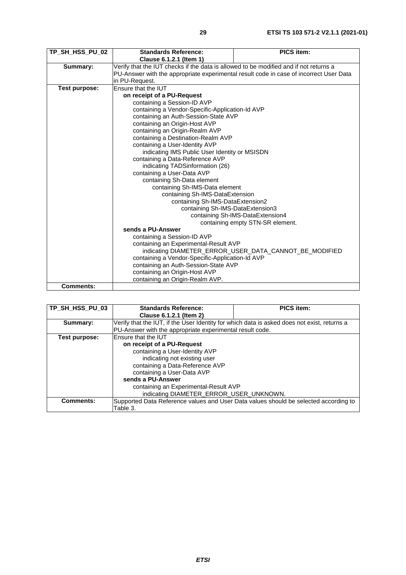| TP SH HSS PU 02  | <b>Standards Reference:</b>                                                            | <b>PICS item:</b>                                      |
|------------------|----------------------------------------------------------------------------------------|--------------------------------------------------------|
|                  | Clause 6.1.2.1 (Item 1)                                                                |                                                        |
| Summary:         | Verify that the IUT checks if the data is allowed to be modified and if not returns a  |                                                        |
|                  | PU-Answer with the appropriate experimental result code in case of incorrect User Data |                                                        |
|                  | in PU-Request.                                                                         |                                                        |
| Test purpose:    | Ensure that the IUT                                                                    |                                                        |
|                  | on receipt of a PU-Request                                                             |                                                        |
|                  | containing a Session-ID AVP                                                            |                                                        |
|                  | containing a Vendor-Specific-Application-Id AVP                                        |                                                        |
|                  | containing an Auth-Session-State AVP                                                   |                                                        |
|                  | containing an Origin-Host AVP                                                          |                                                        |
|                  | containing an Origin-Realm AVP                                                         |                                                        |
|                  | containing a Destination-Realm AVP                                                     |                                                        |
|                  | containing a User-Identity AVP                                                         |                                                        |
|                  | indicating IMS Public User Identity or MSISDN                                          |                                                        |
|                  | containing a Data-Reference AVP                                                        |                                                        |
|                  | indicating TADSinformation (26)                                                        |                                                        |
|                  | containing a User-Data AVP                                                             |                                                        |
|                  | containing Sh-Data element                                                             |                                                        |
|                  | containing Sh-IMS-Data element                                                         |                                                        |
|                  | containing Sh-IMS-DataExtension                                                        |                                                        |
|                  | containing Sh-IMS-DataExtension2                                                       |                                                        |
|                  | containing Sh-IMS-DataExtension3                                                       |                                                        |
|                  | containing Sh-IMS-DataExtension4                                                       |                                                        |
|                  |                                                                                        | containing empty STN-SR element.                       |
|                  | sends a PU-Answer                                                                      |                                                        |
|                  | containing a Session-ID AVP                                                            |                                                        |
|                  | containing an Experimental-Result AVP                                                  |                                                        |
|                  |                                                                                        | indicating DIAMETER ERROR USER DATA CANNOT BE MODIFIED |
|                  | containing a Vendor-Specific-Application-Id AVP                                        |                                                        |
|                  | containing an Auth-Session-State AVP                                                   |                                                        |
|                  | containing an Origin-Host AVP                                                          |                                                        |
|                  | containing an Origin-Realm AVP.                                                        |                                                        |
| <b>Comments:</b> |                                                                                        |                                                        |

| TP SH HSS PU 03 | <b>Standards Reference:</b>                                                                 | <b>PICS item:</b>                                                                    |  |
|-----------------|---------------------------------------------------------------------------------------------|--------------------------------------------------------------------------------------|--|
|                 | Clause 6.1.2.1 (Item 2)                                                                     |                                                                                      |  |
| Summary:        | Verify that the IUT, if the User Identity for which data is asked does not exist, returns a |                                                                                      |  |
|                 | PU-Answer with the appropriate experimental result code.                                    |                                                                                      |  |
| Test purpose:   | Ensure that the IUT                                                                         |                                                                                      |  |
|                 | on receipt of a PU-Request                                                                  |                                                                                      |  |
|                 | containing a User-Identity AVP                                                              |                                                                                      |  |
|                 | indicating not existing user                                                                |                                                                                      |  |
|                 | containing a Data-Reference AVP                                                             |                                                                                      |  |
|                 | containing a User-Data AVP                                                                  |                                                                                      |  |
|                 | sends a PU-Answer                                                                           |                                                                                      |  |
|                 | containing an Experimental-Result AVP                                                       |                                                                                      |  |
|                 | indicating DIAMETER_ERROR_USER_UNKNOWN.                                                     |                                                                                      |  |
| Comments:       |                                                                                             | Supported Data Reference values and User Data values should be selected according to |  |
|                 | Table 3.                                                                                    |                                                                                      |  |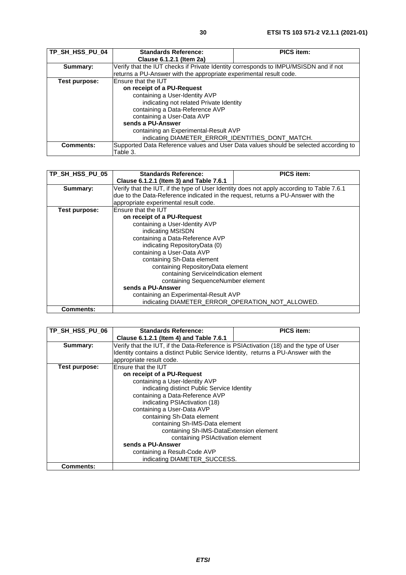| TP_SH_HSS_PU_04 | <b>Standards Reference:</b>                                                          | <b>PICS item:</b>                                                                    |
|-----------------|--------------------------------------------------------------------------------------|--------------------------------------------------------------------------------------|
|                 | Clause 6.1.2.1 (Item 2a)                                                             |                                                                                      |
| Summary:        | Verify that the IUT checks if Private Identity corresponds to IMPU/MSISDN and if not |                                                                                      |
|                 | returns a PU-Answer with the appropriate experimental result code.                   |                                                                                      |
| Test purpose:   | Ensure that the IUT                                                                  |                                                                                      |
|                 | on receipt of a PU-Request                                                           |                                                                                      |
|                 | containing a User-Identity AVP                                                       |                                                                                      |
|                 | indicating not related Private Identity                                              |                                                                                      |
|                 | containing a Data-Reference AVP                                                      |                                                                                      |
|                 | containing a User-Data AVP                                                           |                                                                                      |
|                 | sends a PU-Answer                                                                    |                                                                                      |
|                 | containing an Experimental-Result AVP                                                |                                                                                      |
|                 | indicating DIAMETER_ERROR_IDENTITIES_DONT_MATCH.                                     |                                                                                      |
| Comments:       |                                                                                      | Supported Data Reference values and User Data values should be selected according to |
|                 | Table 3.                                                                             |                                                                                      |

| TP_SH_HSS_PU_05  | <b>Standards Reference:</b>                                                               | <b>PICS item:</b> |
|------------------|-------------------------------------------------------------------------------------------|-------------------|
|                  | Clause 6.1.2.1 (Item 3) and Table 7.6.1                                                   |                   |
| Summary:         | Verify that the IUT, if the type of User Identity does not apply according to Table 7.6.1 |                   |
|                  | due to the Data-Reference indicated in the request, returns a PU-Answer with the          |                   |
|                  | appropriate experimental result code.                                                     |                   |
| Test purpose:    | Ensure that the IUT                                                                       |                   |
|                  | on receipt of a PU-Request                                                                |                   |
|                  | containing a User-Identity AVP                                                            |                   |
|                  | indicating MSISDN                                                                         |                   |
|                  | containing a Data-Reference AVP                                                           |                   |
|                  | indicating RepositoryData (0)                                                             |                   |
|                  | containing a User-Data AVP                                                                |                   |
|                  | containing Sh-Data element                                                                |                   |
|                  | containing RepositoryData element                                                         |                   |
|                  | containing ServiceIndication element                                                      |                   |
|                  | containing SequenceNumber element                                                         |                   |
|                  | sends a PU-Answer                                                                         |                   |
|                  | containing an Experimental-Result AVP                                                     |                   |
|                  | indicating DIAMETER_ERROR_OPERATION_NOT_ALLOWED.                                          |                   |
| <b>Comments:</b> |                                                                                           |                   |

| TP_SH_HSS_PU_06  | <b>Standards Reference:</b>                                                           | <b>PICS item:</b> |
|------------------|---------------------------------------------------------------------------------------|-------------------|
|                  | Clause 6.1.2.1 (Item 4) and Table 7.6.1                                               |                   |
| Summary:         | Verify that the IUT, if the Data-Reference is PSIActivation (18) and the type of User |                   |
|                  | Identity contains a distinct Public Service Identity, returns a PU-Answer with the    |                   |
|                  | appropriate result code.                                                              |                   |
| Test purpose:    | Ensure that the IUT                                                                   |                   |
|                  | on receipt of a PU-Request                                                            |                   |
|                  | containing a User-Identity AVP                                                        |                   |
|                  | indicating distinct Public Service Identity                                           |                   |
|                  | containing a Data-Reference AVP                                                       |                   |
|                  | indicating PSIActivation (18)                                                         |                   |
|                  | containing a User-Data AVP                                                            |                   |
|                  | containing Sh-Data element                                                            |                   |
|                  | containing Sh-IMS-Data element                                                        |                   |
|                  | containing Sh-IMS-DataExtension element                                               |                   |
|                  | containing PSIActivation element                                                      |                   |
|                  | sends a PU-Answer                                                                     |                   |
|                  | containing a Result-Code AVP                                                          |                   |
|                  | indicating DIAMETER SUCCESS.                                                          |                   |
| <b>Comments:</b> |                                                                                       |                   |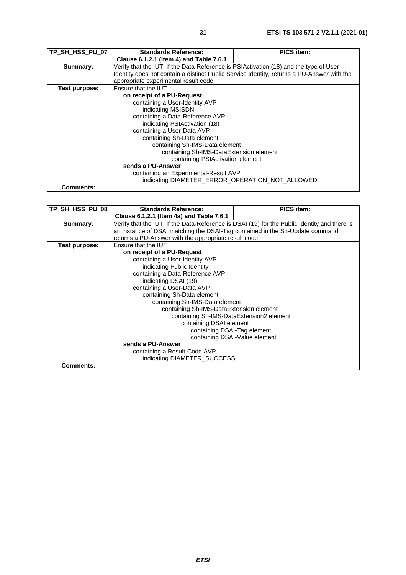| TP_SH_HSS_PU_07  | <b>Standards Reference:</b>                                                                | <b>PICS item:</b> |
|------------------|--------------------------------------------------------------------------------------------|-------------------|
|                  | Clause 6.1.2.1 (Item 4) and Table 7.6.1                                                    |                   |
| Summary:         | Verify that the IUT, if the Data-Reference is PSIActivation (18) and the type of User      |                   |
|                  | Identity does not contain a distinct Public Service Identity, returns a PU-Answer with the |                   |
|                  | appropriate experimental result code.                                                      |                   |
| Test purpose:    | Ensure that the IUT                                                                        |                   |
|                  | on receipt of a PU-Request                                                                 |                   |
|                  | containing a User-Identity AVP                                                             |                   |
|                  | indicating MSISDN                                                                          |                   |
|                  | containing a Data-Reference AVP                                                            |                   |
|                  | indicating PSIActivation (18)                                                              |                   |
|                  | containing a User-Data AVP                                                                 |                   |
|                  | containing Sh-Data element                                                                 |                   |
|                  | containing Sh-IMS-Data element                                                             |                   |
|                  | containing Sh-IMS-DataExtension element                                                    |                   |
|                  | containing PSIActivation element                                                           |                   |
|                  | sends a PU-Answer                                                                          |                   |
|                  | containing an Experimental-Result AVP                                                      |                   |
|                  | indicating DIAMETER_ERROR_OPERATION_NOT_ALLOWED.                                           |                   |
| <b>Comments:</b> |                                                                                            |                   |

| TP_SH_HSS_PU_08  | <b>Standards Reference:</b>                                                   | <b>PICS item:</b>                                                                            |
|------------------|-------------------------------------------------------------------------------|----------------------------------------------------------------------------------------------|
|                  | Clause 6.1.2.1 (Item 4a) and Table 7.6.1                                      |                                                                                              |
| Summary:         |                                                                               | Verify that the IUT, if the Data-Reference is DSAI (19) for the Public Identity and there is |
|                  | an instance of DSAI matching the DSAI-Tag contained in the Sh-Update command, |                                                                                              |
|                  | returns a PU-Answer with the appropriate result code.                         |                                                                                              |
| Test purpose:    | Ensure that the IUT                                                           |                                                                                              |
|                  | on receipt of a PU-Request                                                    |                                                                                              |
|                  | containing a User-Identity AVP                                                |                                                                                              |
|                  | indicating Public Identity                                                    |                                                                                              |
|                  | containing a Data-Reference AVP                                               |                                                                                              |
|                  | indicating DSAI (19)                                                          |                                                                                              |
|                  | containing a User-Data AVP                                                    |                                                                                              |
|                  | containing Sh-Data element                                                    |                                                                                              |
|                  | containing Sh-IMS-Data element                                                |                                                                                              |
|                  | containing Sh-IMS-DataExtension element                                       |                                                                                              |
|                  | containing Sh-IMS-DataExtension2 element                                      |                                                                                              |
|                  | containing DSAI element                                                       |                                                                                              |
|                  | containing DSAI-Tag element                                                   |                                                                                              |
|                  |                                                                               | containing DSAI-Value element                                                                |
|                  | sends a PU-Answer                                                             |                                                                                              |
|                  | containing a Result-Code AVP                                                  |                                                                                              |
|                  | indicating DIAMETER_SUCCESS.                                                  |                                                                                              |
| <b>Comments:</b> |                                                                               |                                                                                              |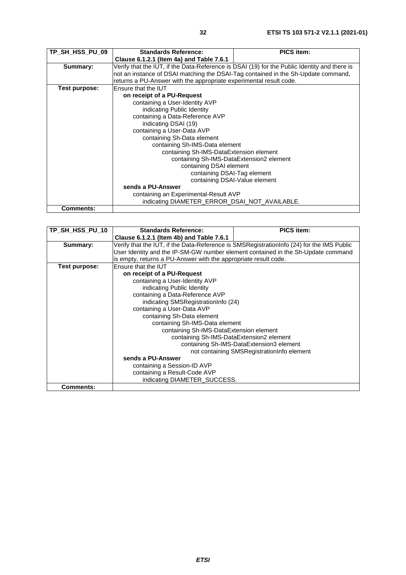| TP_SH_HSS_PU_09 | <b>Standards Reference:</b>                                                       | PICS item:                                                                                   |
|-----------------|-----------------------------------------------------------------------------------|----------------------------------------------------------------------------------------------|
|                 | Clause 6.1.2.1 (Item 4a) and Table 7.6.1                                          |                                                                                              |
| Summary:        |                                                                                   | Verify that the IUT, if the Data-Reference is DSAI (19) for the Public Identity and there is |
|                 | not an instance of DSAI matching the DSAI-Tag contained in the Sh-Update command, |                                                                                              |
|                 | returns a PU-Answer with the appropriate experimental result code.                |                                                                                              |
| Test purpose:   | Ensure that the IUT                                                               |                                                                                              |
|                 | on receipt of a PU-Request                                                        |                                                                                              |
|                 | containing a User-Identity AVP                                                    |                                                                                              |
|                 | indicating Public Identity                                                        |                                                                                              |
|                 | containing a Data-Reference AVP                                                   |                                                                                              |
|                 | indicating DSAI (19)                                                              |                                                                                              |
|                 | containing a User-Data AVP                                                        |                                                                                              |
|                 | containing Sh-Data element                                                        |                                                                                              |
|                 | containing Sh-IMS-Data element                                                    |                                                                                              |
|                 | containing Sh-IMS-DataExtension element                                           |                                                                                              |
|                 | containing Sh-IMS-DataExtension2 element                                          |                                                                                              |
|                 | containing DSAI element                                                           |                                                                                              |
|                 | containing DSAI-Tag element                                                       |                                                                                              |
|                 |                                                                                   | containing DSAI-Value element                                                                |
|                 | sends a PU-Answer                                                                 |                                                                                              |
|                 | containing an Experimental-Result AVP                                             |                                                                                              |
|                 | indicating DIAMETER_ERROR_DSAI_NOT_AVAILABLE.                                     |                                                                                              |
| Comments:       |                                                                                   |                                                                                              |

| TP_SH_HSS_PU_10  | <b>Standards Reference:</b>                                     | <b>PICS item:</b>                                                                         |
|------------------|-----------------------------------------------------------------|-------------------------------------------------------------------------------------------|
|                  | Clause 6.1.2.1 (Item 4b) and Table 7.6.1                        |                                                                                           |
| Summary:         |                                                                 | Verify that the IUT, if the Data-Reference is SMSRegistrationInfo (24) for the IMS Public |
|                  |                                                                 | User Identity and the IP-SM-GW number element contained in the Sh-Update command          |
|                  | is empty, returns a PU-Answer with the appropriate result code. |                                                                                           |
| Test purpose:    | Ensure that the IUT                                             |                                                                                           |
|                  | on receipt of a PU-Request                                      |                                                                                           |
|                  | containing a User-Identity AVP                                  |                                                                                           |
|                  | indicating Public Identity                                      |                                                                                           |
|                  | containing a Data-Reference AVP                                 |                                                                                           |
|                  | indicating SMSRegistrationInfo (24)                             |                                                                                           |
|                  | containing a User-Data AVP                                      |                                                                                           |
|                  | containing Sh-Data element                                      |                                                                                           |
|                  | containing Sh-IMS-Data element                                  |                                                                                           |
|                  | containing Sh-IMS-DataExtension element                         |                                                                                           |
|                  | containing Sh-IMS-DataExtension2 element                        |                                                                                           |
|                  | containing Sh-IMS-DataExtension3 element                        |                                                                                           |
|                  |                                                                 | not containing SMSRegistrationInfo element                                                |
|                  | sends a PU-Answer                                               |                                                                                           |
|                  | containing a Session-ID AVP                                     |                                                                                           |
|                  | containing a Result-Code AVP                                    |                                                                                           |
|                  | indicating DIAMETER SUCCESS.                                    |                                                                                           |
| <b>Comments:</b> |                                                                 |                                                                                           |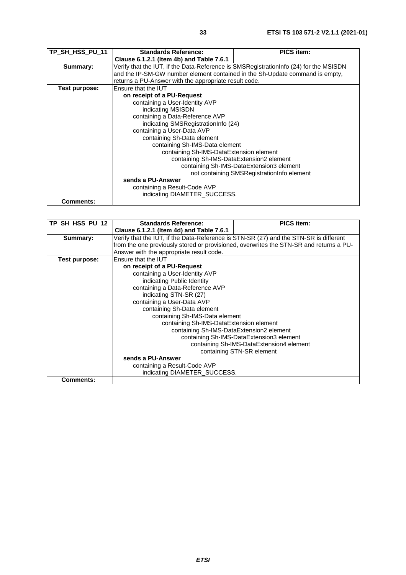| TP_SH_HSS_PU_11  | <b>Standards Reference:</b>                                                           | <b>PICS item:</b> |
|------------------|---------------------------------------------------------------------------------------|-------------------|
|                  | Clause 6.1.2.1 (Item 4b) and Table 7.6.1                                              |                   |
| Summary:         | Verify that the IUT, if the Data-Reference is SMSRegistrationInfo (24) for the MSISDN |                   |
|                  | and the IP-SM-GW number element contained in the Sh-Update command is empty,          |                   |
|                  | returns a PU-Answer with the appropriate result code.                                 |                   |
| Test purpose:    | Ensure that the IUT                                                                   |                   |
|                  | on receipt of a PU-Request                                                            |                   |
|                  | containing a User-Identity AVP                                                        |                   |
|                  | indicating MSISDN                                                                     |                   |
|                  | containing a Data-Reference AVP                                                       |                   |
|                  | indicating SMSRegistrationInfo (24)                                                   |                   |
|                  | containing a User-Data AVP                                                            |                   |
|                  | containing Sh-Data element                                                            |                   |
|                  | containing Sh-IMS-Data element                                                        |                   |
|                  | containing Sh-IMS-DataExtension element                                               |                   |
|                  | containing Sh-IMS-DataExtension2 element                                              |                   |
|                  | containing Sh-IMS-DataExtension3 element                                              |                   |
|                  | not containing SMSRegistrationInfo element                                            |                   |
|                  | sends a PU-Answer                                                                     |                   |
|                  | containing a Result-Code AVP                                                          |                   |
|                  | indicating DIAMETER SUCCESS.                                                          |                   |
| <b>Comments:</b> |                                                                                       |                   |

| TP SH HSS PU 12  | <b>Standards Reference:</b>                                                            | <b>PICS item:</b>                        |
|------------------|----------------------------------------------------------------------------------------|------------------------------------------|
|                  | Clause 6.1.2.1 (Item 4d) and Table 7.6.1                                               |                                          |
| Summary:         | Verify that the IUT, if the Data-Reference is STN-SR (27) and the STN-SR is different  |                                          |
|                  | from the one previously stored or provisioned, overwrites the STN-SR and returns a PU- |                                          |
|                  | Answer with the appropriate result code.                                               |                                          |
| Test purpose:    | Ensure that the IUT                                                                    |                                          |
|                  | on receipt of a PU-Request                                                             |                                          |
|                  | containing a User-Identity AVP                                                         |                                          |
|                  | indicating Public Identity                                                             |                                          |
|                  | containing a Data-Reference AVP                                                        |                                          |
|                  | indicating STN-SR (27)                                                                 |                                          |
|                  | containing a User-Data AVP                                                             |                                          |
|                  | containing Sh-Data element                                                             |                                          |
|                  | containing Sh-IMS-Data element                                                         |                                          |
|                  | containing Sh-IMS-DataExtension element                                                |                                          |
|                  | containing Sh-IMS-DataExtension2 element                                               |                                          |
|                  |                                                                                        | containing Sh-IMS-DataExtension3 element |
|                  |                                                                                        | containing Sh-IMS-DataExtension4 element |
|                  |                                                                                        | containing STN-SR element                |
|                  | sends a PU-Answer                                                                      |                                          |
|                  | containing a Result-Code AVP                                                           |                                          |
|                  | indicating DIAMETER_SUCCESS.                                                           |                                          |
| <b>Comments:</b> |                                                                                        |                                          |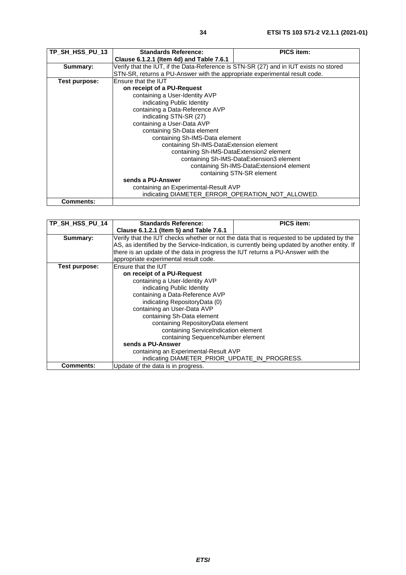| TP SH HSS PU 13 | <b>Standards Reference:</b>                                                           | <b>PICS item:</b>                        |
|-----------------|---------------------------------------------------------------------------------------|------------------------------------------|
|                 | Clause 6.1.2.1 (Item 4d) and Table 7.6.1                                              |                                          |
| Summary:        | Verify that the IUT, if the Data-Reference is STN-SR (27) and in IUT exists no stored |                                          |
|                 | STN-SR, returns a PU-Answer with the appropriate experimental result code.            |                                          |
| Test purpose:   | Ensure that the IUT                                                                   |                                          |
|                 | on receipt of a PU-Request                                                            |                                          |
|                 | containing a User-Identity AVP                                                        |                                          |
|                 | indicating Public Identity                                                            |                                          |
|                 | containing a Data-Reference AVP                                                       |                                          |
|                 | indicating STN-SR (27)                                                                |                                          |
|                 | containing a User-Data AVP                                                            |                                          |
|                 | containing Sh-Data element                                                            |                                          |
|                 | containing Sh-IMS-Data element                                                        |                                          |
|                 | containing Sh-IMS-DataExtension element                                               |                                          |
|                 | containing Sh-IMS-DataExtension2 element                                              |                                          |
|                 |                                                                                       | containing Sh-IMS-DataExtension3 element |
|                 |                                                                                       | containing Sh-IMS-DataExtension4 element |
|                 |                                                                                       | containing STN-SR element                |
|                 | sends a PU-Answer                                                                     |                                          |
|                 | containing an Experimental-Result AVP                                                 |                                          |
|                 | indicating DIAMETER_ERROR_OPERATION_NOT_ALLOWED.                                      |                                          |
| Comments:       |                                                                                       |                                          |

| TP_SH_HSS_PU_14  | <b>Standards Reference:</b>                                                     | <b>PICS item:</b>                                                                             |
|------------------|---------------------------------------------------------------------------------|-----------------------------------------------------------------------------------------------|
|                  | Clause 6.1.2.1 (Item 5) and Table 7.6.1                                         |                                                                                               |
| Summary:         |                                                                                 | Verify that the IUT checks whether or not the data that is requested to be updated by the     |
|                  |                                                                                 | AS, as identified by the Service-Indication, is currently being updated by another entity. If |
|                  | there is an update of the data in progress the IUT returns a PU-Answer with the |                                                                                               |
|                  | appropriate experimental result code.                                           |                                                                                               |
| Test purpose:    | Ensure that the IUT                                                             |                                                                                               |
|                  | on receipt of a PU-Request                                                      |                                                                                               |
|                  | containing a User-Identity AVP                                                  |                                                                                               |
|                  | indicating Public Identity                                                      |                                                                                               |
|                  | containing a Data-Reference AVP                                                 |                                                                                               |
|                  | indicating RepositoryData (0)                                                   |                                                                                               |
|                  | containing an User-Data AVP                                                     |                                                                                               |
|                  | containing Sh-Data element                                                      |                                                                                               |
|                  | containing RepositoryData element                                               |                                                                                               |
|                  | containing ServiceIndication element                                            |                                                                                               |
|                  | containing SequenceNumber element                                               |                                                                                               |
|                  | sends a PU-Answer                                                               |                                                                                               |
|                  | containing an Experimental-Result AVP                                           |                                                                                               |
|                  | indicating DIAMETER PRIOR UPDATE IN PROGRESS.                                   |                                                                                               |
| <b>Comments:</b> | Update of the data is in progress.                                              |                                                                                               |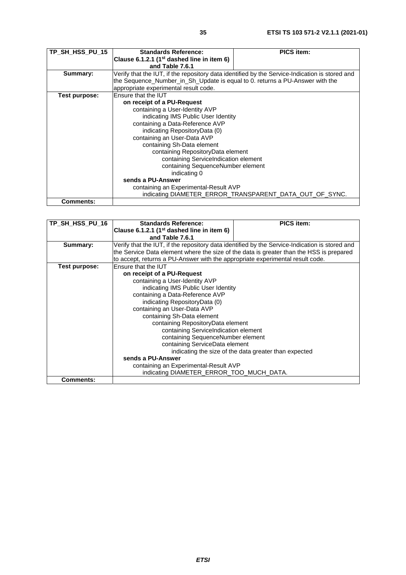| TP SH HSS PU 15  | <b>Standards Reference:</b>                                                  | <b>PICS item:</b>                                                                              |
|------------------|------------------------------------------------------------------------------|------------------------------------------------------------------------------------------------|
|                  | Clause 6.1.2.1 (1 <sup>st</sup> dashed line in item 6)                       |                                                                                                |
|                  | and Table 7.6.1                                                              |                                                                                                |
| Summary:         |                                                                              | Verify that the IUT, if the repository data identified by the Service-Indication is stored and |
|                  | the Sequence_Number_in_Sh_Update is equal to 0. returns a PU-Answer with the |                                                                                                |
|                  | appropriate experimental result code.                                        |                                                                                                |
| Test purpose:    | Ensure that the IUT                                                          |                                                                                                |
|                  | on receipt of a PU-Request                                                   |                                                                                                |
|                  | containing a User-Identity AVP                                               |                                                                                                |
|                  | indicating IMS Public User Identity                                          |                                                                                                |
|                  | containing a Data-Reference AVP                                              |                                                                                                |
|                  | indicating RepositoryData (0)                                                |                                                                                                |
|                  | containing an User-Data AVP                                                  |                                                                                                |
|                  | containing Sh-Data element                                                   |                                                                                                |
|                  | containing RepositoryData element                                            |                                                                                                |
|                  | containing ServiceIndication element                                         |                                                                                                |
|                  | containing SequenceNumber element                                            |                                                                                                |
|                  | indicating 0                                                                 |                                                                                                |
|                  | sends a PU-Answer                                                            |                                                                                                |
|                  | containing an Experimental-Result AVP                                        |                                                                                                |
|                  |                                                                              | indicating DIAMETER ERROR TRANSPARENT DATA OUT OF SYNC.                                        |
| <b>Comments:</b> |                                                                              |                                                                                                |

| TP_SH_HSS_PU_16  | <b>Standards Reference:</b>                                                             | <b>PICS item:</b>                                                                              |
|------------------|-----------------------------------------------------------------------------------------|------------------------------------------------------------------------------------------------|
|                  | Clause 6.1.2.1 ( $1st$ dashed line in item 6)                                           |                                                                                                |
|                  | and Table 7.6.1                                                                         |                                                                                                |
|                  |                                                                                         |                                                                                                |
| Summary:         |                                                                                         | Verify that the IUT, if the repository data identified by the Service-Indication is stored and |
|                  | the Service Data element where the size of the data is greater than the HSS is prepared |                                                                                                |
|                  | to accept, returns a PU-Answer with the appropriate experimental result code.           |                                                                                                |
| Test purpose:    | Ensure that the IUT                                                                     |                                                                                                |
|                  | on receipt of a PU-Request                                                              |                                                                                                |
|                  | containing a User-Identity AVP                                                          |                                                                                                |
|                  | indicating IMS Public User Identity                                                     |                                                                                                |
|                  | containing a Data-Reference AVP                                                         |                                                                                                |
|                  | indicating RepositoryData (0)                                                           |                                                                                                |
|                  | containing an User-Data AVP                                                             |                                                                                                |
|                  | containing Sh-Data element                                                              |                                                                                                |
|                  | containing RepositoryData element                                                       |                                                                                                |
|                  | containing ServiceIndication element                                                    |                                                                                                |
|                  | containing SequenceNumber element                                                       |                                                                                                |
|                  | containing ServiceData element                                                          |                                                                                                |
|                  |                                                                                         | indicating the size of the data greater than expected                                          |
|                  | sends a PU-Answer                                                                       |                                                                                                |
|                  |                                                                                         |                                                                                                |
|                  | containing an Experimental-Result AVP                                                   |                                                                                                |
|                  | indicating DIAMETER_ERROR_TOO_MUCH_DATA.                                                |                                                                                                |
| <b>Comments:</b> |                                                                                         |                                                                                                |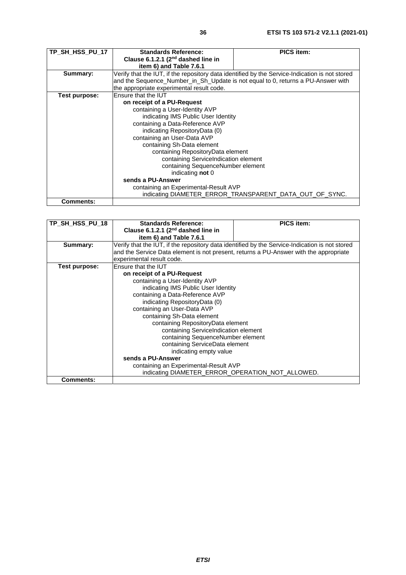| TP SH HSS PU 17  | <b>Standards Reference:</b>                                                      | <b>PICS item:</b>                                                                              |
|------------------|----------------------------------------------------------------------------------|------------------------------------------------------------------------------------------------|
|                  | Clause 6.1.2.1 (2 <sup>nd</sup> dashed line in                                   |                                                                                                |
|                  | item 6) and Table 7.6.1                                                          |                                                                                                |
| Summary:         |                                                                                  | Verify that the IUT, if the repository data identified by the Service-Indication is not stored |
|                  | and the Sequence_Number_in_Sh_Update is not equal to 0, returns a PU-Answer with |                                                                                                |
|                  | the appropriate experimental result code.                                        |                                                                                                |
| Test purpose:    | Ensure that the IUT                                                              |                                                                                                |
|                  | on receipt of a PU-Request                                                       |                                                                                                |
|                  | containing a User-Identity AVP                                                   |                                                                                                |
|                  | indicating IMS Public User Identity                                              |                                                                                                |
|                  | containing a Data-Reference AVP                                                  |                                                                                                |
|                  | indicating RepositoryData (0)                                                    |                                                                                                |
|                  | containing an User-Data AVP                                                      |                                                                                                |
|                  | containing Sh-Data element                                                       |                                                                                                |
|                  | containing RepositoryData element                                                |                                                                                                |
|                  | containing ServiceIndication element                                             |                                                                                                |
|                  | containing SequenceNumber element                                                |                                                                                                |
|                  | indicating not 0                                                                 |                                                                                                |
|                  | sends a PU-Answer                                                                |                                                                                                |
|                  | containing an Experimental-Result AVP                                            |                                                                                                |
|                  |                                                                                  | indicating DIAMETER ERROR TRANSPARENT DATA OUT OF SYNC.                                        |
| <b>Comments:</b> |                                                                                  |                                                                                                |

| TP SH HSS PU 18  | <b>Standards Reference:</b>                                                           | <b>PICS item:</b>                                                                              |
|------------------|---------------------------------------------------------------------------------------|------------------------------------------------------------------------------------------------|
|                  | Clause 6.1.2.1 (2 <sup>nd</sup> dashed line in                                        |                                                                                                |
|                  | item 6) and Table 7.6.1                                                               |                                                                                                |
| Summary:         |                                                                                       | Verify that the IUT, if the repository data identified by the Service-Indication is not stored |
|                  | and the Service Data element is not present, returns a PU-Answer with the appropriate |                                                                                                |
|                  | experimental result code.                                                             |                                                                                                |
| Test purpose:    | Ensure that the IUT                                                                   |                                                                                                |
|                  | on receipt of a PU-Request                                                            |                                                                                                |
|                  | containing a User-Identity AVP                                                        |                                                                                                |
|                  | indicating IMS Public User Identity                                                   |                                                                                                |
|                  | containing a Data-Reference AVP                                                       |                                                                                                |
|                  | indicating RepositoryData (0)                                                         |                                                                                                |
|                  | containing an User-Data AVP                                                           |                                                                                                |
|                  | containing Sh-Data element                                                            |                                                                                                |
|                  | containing RepositoryData element                                                     |                                                                                                |
|                  | containing ServiceIndication element                                                  |                                                                                                |
|                  | containing SequenceNumber element                                                     |                                                                                                |
|                  | containing ServiceData element                                                        |                                                                                                |
|                  | indicating empty value                                                                |                                                                                                |
|                  | sends a PU-Answer                                                                     |                                                                                                |
|                  | containing an Experimental-Result AVP                                                 |                                                                                                |
|                  | indicating DIAMETER_ERROR_OPERATION_NOT_ALLOWED.                                      |                                                                                                |
| <b>Comments:</b> |                                                                                       |                                                                                                |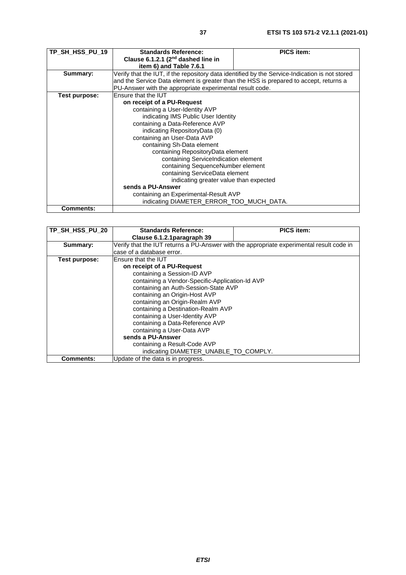| TP SH HSS PU 19  | <b>Standards Reference:</b>                                                           | <b>PICS item:</b>                                                                              |
|------------------|---------------------------------------------------------------------------------------|------------------------------------------------------------------------------------------------|
|                  | Clause 6.1.2.1 $(2^{nd}$ dashed line in                                               |                                                                                                |
|                  | item 6) and Table 7.6.1                                                               |                                                                                                |
| Summary:         |                                                                                       | Verify that the IUT, if the repository data identified by the Service-Indication is not stored |
|                  | and the Service Data element is greater than the HSS is prepared to accept, returns a |                                                                                                |
|                  | PU-Answer with the appropriate experimental result code.                              |                                                                                                |
| Test purpose:    | Ensure that the IUT                                                                   |                                                                                                |
|                  | on receipt of a PU-Request                                                            |                                                                                                |
|                  | containing a User-Identity AVP                                                        |                                                                                                |
|                  | indicating IMS Public User Identity                                                   |                                                                                                |
|                  | containing a Data-Reference AVP                                                       |                                                                                                |
|                  | indicating RepositoryData (0)                                                         |                                                                                                |
|                  | containing an User-Data AVP                                                           |                                                                                                |
|                  | containing Sh-Data element                                                            |                                                                                                |
|                  | containing RepositoryData element                                                     |                                                                                                |
|                  | containing ServiceIndication element                                                  |                                                                                                |
|                  | containing SequenceNumber element                                                     |                                                                                                |
|                  | containing ServiceData element                                                        |                                                                                                |
|                  | indicating greater value than expected                                                |                                                                                                |
|                  | sends a PU-Answer                                                                     |                                                                                                |
|                  | containing an Experimental-Result AVP                                                 |                                                                                                |
|                  | indicating DIAMETER_ERROR_TOO_MUCH_DATA.                                              |                                                                                                |
| <b>Comments:</b> |                                                                                       |                                                                                                |

| TP_SH_HSS_PU_20 | <b>Standards Reference:</b>                     | <b>PICS item:</b>                                                                        |
|-----------------|-------------------------------------------------|------------------------------------------------------------------------------------------|
|                 |                                                 |                                                                                          |
|                 | Clause 6.1.2.1 paragraph 39                     |                                                                                          |
| Summary:        |                                                 | Verify that the IUT returns a PU-Answer with the appropriate experimental result code in |
|                 | case of a database error.                       |                                                                                          |
| Test purpose:   | Ensure that the IUT                             |                                                                                          |
|                 | on receipt of a PU-Request                      |                                                                                          |
|                 | containing a Session-ID AVP                     |                                                                                          |
|                 | containing a Vendor-Specific-Application-Id AVP |                                                                                          |
|                 | containing an Auth-Session-State AVP            |                                                                                          |
|                 | containing an Origin-Host AVP                   |                                                                                          |
|                 | containing an Origin-Realm AVP                  |                                                                                          |
|                 | containing a Destination-Realm AVP              |                                                                                          |
|                 | containing a User-Identity AVP                  |                                                                                          |
|                 | containing a Data-Reference AVP                 |                                                                                          |
|                 | containing a User-Data AVP                      |                                                                                          |
|                 | sends a PU-Answer                               |                                                                                          |
|                 | containing a Result-Code AVP                    |                                                                                          |
|                 | indicating DIAMETER_UNABLE_TO_COMPLY.           |                                                                                          |
| Comments:       | Update of the data is in progress.              |                                                                                          |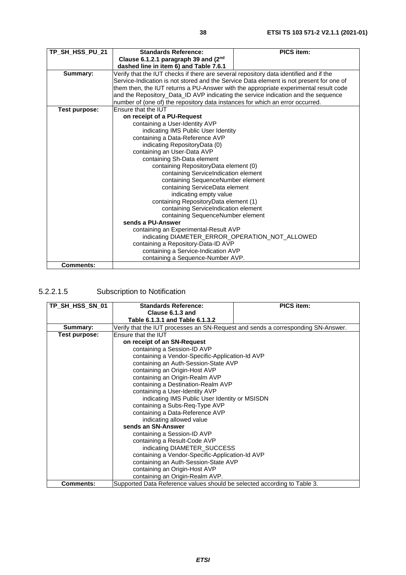<span id="page-37-0"></span>

| TP_SH_HSS_PU_21  | <b>Standards Reference:</b>                                                             | <b>PICS item:</b> |
|------------------|-----------------------------------------------------------------------------------------|-------------------|
|                  | Clause 6.1.2.1 paragraph 39 and $(2^{nd}$                                               |                   |
|                  | dashed line in item 6) and Table 7.6.1                                                  |                   |
| Summary:         | Verify that the IUT checks if there are several repository data identified and if the   |                   |
|                  | Service-Indication is not stored and the Service Data element is not present for one of |                   |
|                  | them then, the IUT returns a PU-Answer with the appropriate experimental result code    |                   |
|                  | and the Repository_Data_ID AVP indicating the service indication and the sequence       |                   |
|                  | number of (one of) the repository data instances for which an error occurred.           |                   |
| Test purpose:    | <b>Ensure that the IUT</b>                                                              |                   |
|                  | on receipt of a PU-Request                                                              |                   |
|                  | containing a User-Identity AVP                                                          |                   |
|                  | indicating IMS Public User Identity                                                     |                   |
|                  | containing a Data-Reference AVP                                                         |                   |
|                  | indicating RepositoryData (0)                                                           |                   |
|                  | containing an User-Data AVP                                                             |                   |
|                  | containing Sh-Data element                                                              |                   |
|                  | containing RepositoryData element (0)                                                   |                   |
|                  | containing ServiceIndication element                                                    |                   |
|                  | containing SequenceNumber element                                                       |                   |
|                  | containing ServiceData element                                                          |                   |
|                  | indicating empty value                                                                  |                   |
|                  | containing RepositoryData element (1)                                                   |                   |
|                  | containing ServiceIndication element                                                    |                   |
|                  | containing SequenceNumber element<br>sends a PU-Answer                                  |                   |
|                  |                                                                                         |                   |
|                  | containing an Experimental-Result AVP                                                   |                   |
|                  | indicating DIAMETER_ERROR_OPERATION_NOT_ALLOWED<br>containing a Repository-Data-ID AVP  |                   |
|                  | containing a Service-Indication AVP                                                     |                   |
|                  | containing a Sequence-Number AVP.                                                       |                   |
| <b>Comments:</b> |                                                                                         |                   |

## 5.2.2.1.5 Subscription to Notification

| TP_SH_HSS_SN_01 | <b>Standards Reference:</b>                                                      | <b>PICS item:</b> |
|-----------------|----------------------------------------------------------------------------------|-------------------|
|                 | Clause 6.1.3 and                                                                 |                   |
|                 | Table 6.1.3.1 and Table 6.1.3.2                                                  |                   |
| Summary:        | Verify that the IUT processes an SN-Request and sends a corresponding SN-Answer. |                   |
| Test purpose:   | Ensure that the IUT                                                              |                   |
|                 | on receipt of an SN-Request                                                      |                   |
|                 | containing a Session-ID AVP                                                      |                   |
|                 | containing a Vendor-Specific-Application-Id AVP                                  |                   |
|                 | containing an Auth-Session-State AVP                                             |                   |
|                 | containing an Origin-Host AVP                                                    |                   |
|                 | containing an Origin-Realm AVP                                                   |                   |
|                 | containing a Destination-Realm AVP                                               |                   |
|                 | containing a User-Identity AVP                                                   |                   |
|                 | indicating IMS Public User Identity or MSISDN                                    |                   |
|                 | containing a Subs-Req-Type AVP                                                   |                   |
|                 | containing a Data-Reference AVP                                                  |                   |
|                 | indicating allowed value                                                         |                   |
|                 | sends an SN-Answer                                                               |                   |
|                 | containing a Session-ID AVP                                                      |                   |
|                 | containing a Result-Code AVP                                                     |                   |
|                 | indicating DIAMETER_SUCCESS                                                      |                   |
|                 | containing a Vendor-Specific-Application-Id AVP                                  |                   |
|                 | containing an Auth-Session-State AVP                                             |                   |
|                 | containing an Origin-Host AVP                                                    |                   |
|                 | containing an Origin-Realm AVP.                                                  |                   |
| Comments:       | Supported Data Reference values should be selected according to Table 3.         |                   |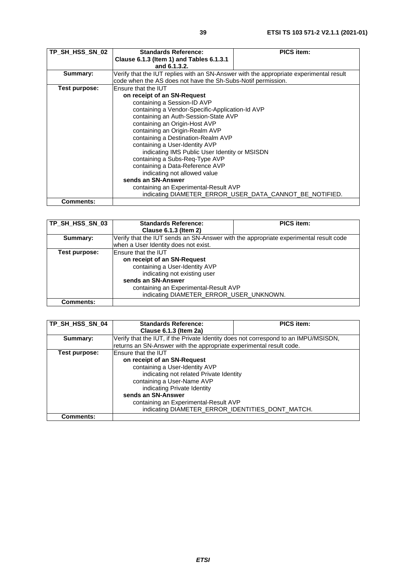| TP_SH_HSS_SN_02  | <b>Standards Reference:</b>                                                            | <b>PICS item:</b>                                       |
|------------------|----------------------------------------------------------------------------------------|---------------------------------------------------------|
|                  | Clause 6.1.3 (Item 1) and Tables 6.1.3.1                                               |                                                         |
|                  | and 6.1.3.2.                                                                           |                                                         |
| Summary:         | Verify that the IUT replies with an SN-Answer with the appropriate experimental result |                                                         |
|                  | code when the AS does not have the Sh-Subs-Notif permission.                           |                                                         |
| Test purpose:    | Ensure that the IUT                                                                    |                                                         |
|                  | on receipt of an SN-Request                                                            |                                                         |
|                  | containing a Session-ID AVP                                                            |                                                         |
|                  | containing a Vendor-Specific-Application-Id AVP                                        |                                                         |
|                  | containing an Auth-Session-State AVP                                                   |                                                         |
|                  | containing an Origin-Host AVP                                                          |                                                         |
|                  | containing an Origin-Realm AVP                                                         |                                                         |
|                  | containing a Destination-Realm AVP                                                     |                                                         |
|                  | containing a User-Identity AVP                                                         |                                                         |
|                  | indicating IMS Public User Identity or MSISDN                                          |                                                         |
|                  | containing a Subs-Req-Type AVP                                                         |                                                         |
|                  | containing a Data-Reference AVP                                                        |                                                         |
|                  | indicating not allowed value                                                           |                                                         |
|                  | sends an SN-Answer                                                                     |                                                         |
|                  | containing an Experimental-Result AVP                                                  |                                                         |
|                  |                                                                                        | indicating DIAMETER ERROR USER DATA CANNOT BE NOTIFIED. |
| <b>Comments:</b> |                                                                                        |                                                         |

| TP SH HSS SN 03  | <b>Standards Reference:</b>                                                          | <b>PICS item:</b> |
|------------------|--------------------------------------------------------------------------------------|-------------------|
|                  | Clause 6.1.3 (Item 2)                                                                |                   |
| Summary:         | Verify that the IUT sends an SN-Answer with the appropriate experimental result code |                   |
|                  | when a User Identity does not exist.                                                 |                   |
| Test purpose:    | Ensure that the IUT                                                                  |                   |
|                  | on receipt of an SN-Request                                                          |                   |
|                  | containing a User-Identity AVP                                                       |                   |
|                  | indicating not existing user                                                         |                   |
|                  | sends an SN-Answer                                                                   |                   |
|                  | containing an Experimental-Result AVP                                                |                   |
|                  | indicating DIAMETER_ERROR_USER_UNKNOWN.                                              |                   |
| <b>Comments:</b> |                                                                                      |                   |

| TP SH HSS SN 04  | <b>Standards Reference:</b>                                                         | <b>PICS item:</b> |  |
|------------------|-------------------------------------------------------------------------------------|-------------------|--|
|                  | Clause 6.1.3 (Item 2a)                                                              |                   |  |
| Summary:         | Verify that the IUT, if the Private Identity does not correspond to an IMPU/MSISDN, |                   |  |
|                  | returns an SN-Answer with the appropriate experimental result code.                 |                   |  |
| Test purpose:    | Ensure that the IUT                                                                 |                   |  |
|                  | on receipt of an SN-Request                                                         |                   |  |
|                  | containing a User-Identity AVP                                                      |                   |  |
|                  | indicating not related Private Identity                                             |                   |  |
|                  | containing a User-Name AVP                                                          |                   |  |
|                  | indicating Private Identity                                                         |                   |  |
|                  | sends an SN-Answer                                                                  |                   |  |
|                  | containing an Experimental-Result AVP                                               |                   |  |
|                  | indicating DIAMETER_ERROR_IDENTITIES_DONT_MATCH.                                    |                   |  |
| <b>Comments:</b> |                                                                                     |                   |  |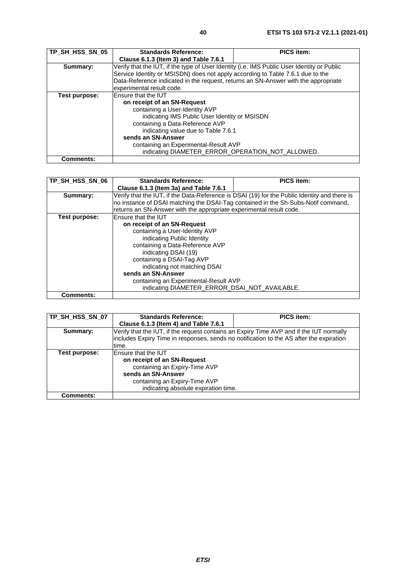| TP_SH_HSS_SN_05 | <b>Standards Reference:</b>                                                                | <b>PICS item:</b> |
|-----------------|--------------------------------------------------------------------------------------------|-------------------|
|                 | Clause 6.1.3 (Item 3) and Table 7.6.1                                                      |                   |
| Summary:        | Verify that the IUT, if the type of User Identity (i.e. IMS Public User Identity or Public |                   |
|                 | Service Identity or MSISDN) does not apply according to Table 7.6.1 due to the             |                   |
|                 | Data-Reference indicated in the request, returns an SN-Answer with the appropriate         |                   |
|                 | experimental result code.                                                                  |                   |
| Test purpose:   | Ensure that the IUT                                                                        |                   |
|                 | on receipt of an SN-Request                                                                |                   |
|                 | containing a User-Identity AVP                                                             |                   |
|                 | indicating IMS Public User Identity or MSISDN                                              |                   |
|                 | containing a Data-Reference AVP                                                            |                   |
|                 | indicating value due to Table 7.6.1                                                        |                   |
|                 | sends an SN-Answer                                                                         |                   |
|                 | containing an Experimental-Result AVP                                                      |                   |
|                 | indicating DIAMETER ERROR OPERATION NOT ALLOWED.                                           |                   |
| Comments:       |                                                                                            |                   |

| TP SH HSS SN 06  | <b>Standards Reference:</b>                                                                  | <b>PICS item:</b> |
|------------------|----------------------------------------------------------------------------------------------|-------------------|
|                  | Clause 6.1.3 (Item 3a) and Table 7.6.1                                                       |                   |
| Summary:         | Verify that the IUT, if the Data-Reference is DSAI (19) for the Public Identity and there is |                   |
|                  | no instance of DSAI matching the DSAI-Tag contained in the Sh-Subs-Notif command,            |                   |
|                  | returns an SN-Answer with the appropriate experimental result code.                          |                   |
| Test purpose:    | Ensure that the IUT                                                                          |                   |
|                  | on receipt of an SN-Request                                                                  |                   |
|                  | containing a User-Identity AVP                                                               |                   |
|                  | indicating Public Identity                                                                   |                   |
|                  | containing a Data-Reference AVP                                                              |                   |
|                  | indicating DSAI (19)                                                                         |                   |
|                  | containing a DSAI-Tag AVP                                                                    |                   |
|                  | indicating not matching DSAI                                                                 |                   |
|                  | sends an SN-Answer                                                                           |                   |
|                  | containing an Experimental-Result AVP                                                        |                   |
|                  | indicating DIAMETER_ERROR_DSAI_NOT_AVAILABLE.                                                |                   |
| <b>Comments:</b> |                                                                                              |                   |

| TP SH HSS SN 07 | <b>Standards Reference:</b><br>Clause 6.1.3 (Item 4) and Table 7.6.1                                                                                                                        | <b>PICS item:</b> |
|-----------------|---------------------------------------------------------------------------------------------------------------------------------------------------------------------------------------------|-------------------|
| Summary:        | Verify that the IUT, if the request contains an Expiry Time AVP and if the IUT normally<br>includes Expiry Time in responses, sends no notification to the AS after the expiration<br>time. |                   |
| Test purpose:   | Ensure that the IUT<br>on receipt of an SN-Request<br>containing an Expiry-Time AVP<br>sends an SN-Answer<br>containing an Expiry-Time AVP<br>indicating absolute expiration time.          |                   |
| Comments:       |                                                                                                                                                                                             |                   |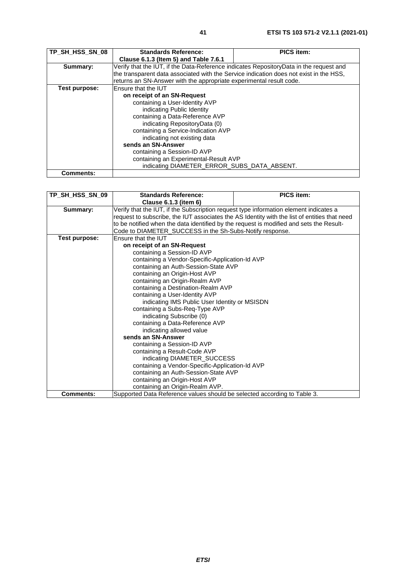| TP SH HSS SN 08  | <b>Standards Reference:</b>                                                            | <b>PICS item:</b> |
|------------------|----------------------------------------------------------------------------------------|-------------------|
|                  | Clause 6.1.3 (Item 5) and Table 7.6.1                                                  |                   |
| Summary:         | Verify that the IUT, if the Data-Reference indicates RepositoryData in the request and |                   |
|                  | the transparent data associated with the Service indication does not exist in the HSS. |                   |
|                  | returns an SN-Answer with the appropriate experimental result code.                    |                   |
| Test purpose:    | Ensure that the IUT                                                                    |                   |
|                  | on receipt of an SN-Request                                                            |                   |
|                  | containing a User-Identity AVP                                                         |                   |
|                  | indicating Public Identity                                                             |                   |
|                  | containing a Data-Reference AVP                                                        |                   |
|                  | indicating RepositoryData (0)                                                          |                   |
|                  | containing a Service-Indication AVP                                                    |                   |
|                  | indicating not existing data                                                           |                   |
|                  | sends an SN-Answer                                                                     |                   |
|                  | containing a Session-ID AVP                                                            |                   |
|                  | containing an Experimental-Result AVP                                                  |                   |
|                  | indicating DIAMETER_ERROR_SUBS_DATA_ABSENT.                                            |                   |
| <b>Comments:</b> |                                                                                        |                   |

| TP_SH_HSS_SN_09  | <b>Standards Reference:</b>                                                                                                                         | <b>PICS item:</b> |
|------------------|-----------------------------------------------------------------------------------------------------------------------------------------------------|-------------------|
|                  | Clause 6.1.3 (item 6)                                                                                                                               |                   |
| Summary:         | Verify that the IUT, if the Subscription request type information element indicates a                                                               |                   |
|                  | request to subscribe, the IUT associates the AS Identity with the list of entities that need                                                        |                   |
|                  |                                                                                                                                                     |                   |
|                  | to be notified when the data identified by the request is modified and sets the Result-<br>Code to DIAMETER_SUCCESS in the Sh-Subs-Notify response. |                   |
|                  |                                                                                                                                                     |                   |
| Test purpose:    | Ensure that the IUT                                                                                                                                 |                   |
|                  | on receipt of an SN-Request                                                                                                                         |                   |
|                  | containing a Session-ID AVP                                                                                                                         |                   |
|                  | containing a Vendor-Specific-Application-Id AVP                                                                                                     |                   |
|                  | containing an Auth-Session-State AVP                                                                                                                |                   |
|                  | containing an Origin-Host AVP                                                                                                                       |                   |
|                  | containing an Origin-Realm AVP                                                                                                                      |                   |
|                  | containing a Destination-Realm AVP                                                                                                                  |                   |
|                  | containing a User-Identity AVP                                                                                                                      |                   |
|                  | indicating IMS Public User Identity or MSISDN                                                                                                       |                   |
|                  | containing a Subs-Req-Type AVP                                                                                                                      |                   |
|                  | indicating Subscribe (0)                                                                                                                            |                   |
|                  | containing a Data-Reference AVP                                                                                                                     |                   |
|                  | indicating allowed value                                                                                                                            |                   |
|                  | sends an SN-Answer                                                                                                                                  |                   |
|                  | containing a Session-ID AVP                                                                                                                         |                   |
|                  | containing a Result-Code AVP                                                                                                                        |                   |
|                  | indicating DIAMETER_SUCCESS                                                                                                                         |                   |
|                  | containing a Vendor-Specific-Application-Id AVP                                                                                                     |                   |
|                  | containing an Auth-Session-State AVP                                                                                                                |                   |
|                  | containing an Origin-Host AVP                                                                                                                       |                   |
|                  | containing an Origin-Realm AVP.                                                                                                                     |                   |
| <b>Comments:</b> | Supported Data Reference values should be selected according to Table 3.                                                                            |                   |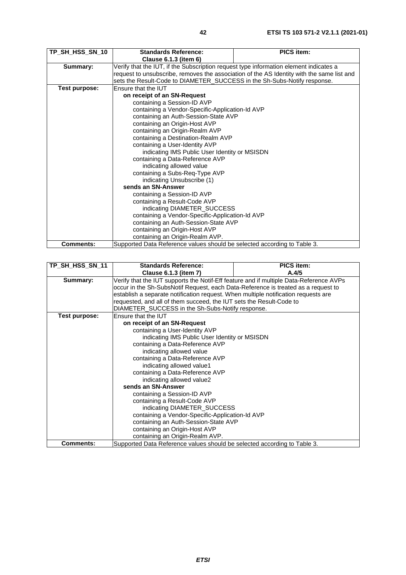| TP_SH_HSS_SN_10  | <b>Standards Reference:</b>                                                               | <b>PICS item:</b> |
|------------------|-------------------------------------------------------------------------------------------|-------------------|
|                  | Clause 6.1.3 (item 6)                                                                     |                   |
| Summary:         | Verify that the IUT, if the Subscription request type information element indicates a     |                   |
|                  | request to unsubscribe, removes the association of the AS Identity with the same list and |                   |
|                  | sets the Result-Code to DIAMETER_SUCCESS in the Sh-Subs-Notify response.                  |                   |
| Test purpose:    | Ensure that the IUT                                                                       |                   |
|                  | on receipt of an SN-Request                                                               |                   |
|                  | containing a Session-ID AVP                                                               |                   |
|                  | containing a Vendor-Specific-Application-Id AVP                                           |                   |
|                  | containing an Auth-Session-State AVP                                                      |                   |
|                  | containing an Origin-Host AVP                                                             |                   |
|                  | containing an Origin-Realm AVP                                                            |                   |
|                  | containing a Destination-Realm AVP                                                        |                   |
|                  | containing a User-Identity AVP                                                            |                   |
|                  | indicating IMS Public User Identity or MSISDN                                             |                   |
|                  | containing a Data-Reference AVP                                                           |                   |
|                  | indicating allowed value                                                                  |                   |
|                  | containing a Subs-Req-Type AVP                                                            |                   |
|                  | indicating Unsubscribe (1)                                                                |                   |
|                  | sends an SN-Answer                                                                        |                   |
|                  | containing a Session-ID AVP                                                               |                   |
|                  | containing a Result-Code AVP                                                              |                   |
|                  | indicating DIAMETER_SUCCESS                                                               |                   |
|                  | containing a Vendor-Specific-Application-Id AVP                                           |                   |
|                  | containing an Auth-Session-State AVP                                                      |                   |
|                  | containing an Origin-Host AVP                                                             |                   |
|                  | containing an Origin-Realm AVP.                                                           |                   |
| <b>Comments:</b> | Supported Data Reference values should be selected according to Table 3.                  |                   |

| TP_SH_HSS_SN_11  | <b>Standards Reference:</b>                                                            | <b>PICS item:</b> |
|------------------|----------------------------------------------------------------------------------------|-------------------|
|                  | <b>Clause 6.1.3 (item 7)</b>                                                           | A.4/5             |
| Summary:         | Verify that the IUT supports the Notif-Eff feature and if multiple Data-Reference AVPs |                   |
|                  | occur in the Sh-SubsNotif Request, each Data-Reference is treated as a request to      |                   |
|                  | establish a separate notification request. When multiple notification requests are     |                   |
|                  | requested, and all of them succeed, the IUT sets the Result-Code to                    |                   |
|                  | DIAMETER_SUCCESS in the Sh-Subs-Notify response.                                       |                   |
| Test purpose:    | Ensure that the IUT                                                                    |                   |
|                  | on receipt of an SN-Request                                                            |                   |
|                  | containing a User-Identity AVP                                                         |                   |
|                  | indicating IMS Public User Identity or MSISDN                                          |                   |
|                  | containing a Data-Reference AVP                                                        |                   |
|                  | indicating allowed value                                                               |                   |
|                  | containing a Data-Reference AVP                                                        |                   |
|                  | indicating allowed value1                                                              |                   |
|                  | containing a Data-Reference AVP                                                        |                   |
|                  | indicating allowed value2                                                              |                   |
|                  | sends an SN-Answer                                                                     |                   |
|                  | containing a Session-ID AVP                                                            |                   |
|                  | containing a Result-Code AVP                                                           |                   |
|                  | indicating DIAMETER SUCCESS                                                            |                   |
|                  | containing a Vendor-Specific-Application-Id AVP                                        |                   |
|                  | containing an Auth-Session-State AVP                                                   |                   |
|                  | containing an Origin-Host AVP                                                          |                   |
|                  | containing an Origin-Realm AVP.                                                        |                   |
| <b>Comments:</b> | Supported Data Reference values should be selected according to Table 3.               |                   |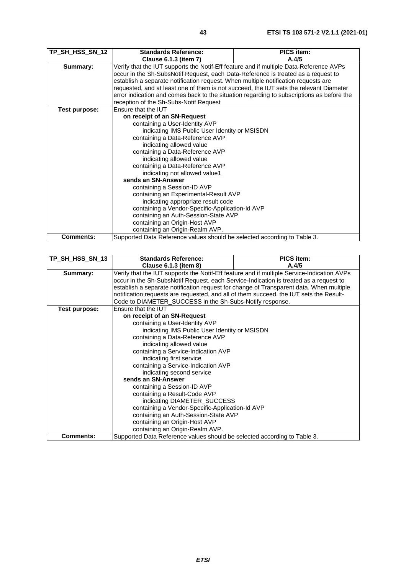| TP_SH_HSS_SN_12  | <b>Standards Reference:</b>                                                               | <b>PICS item:</b> |
|------------------|-------------------------------------------------------------------------------------------|-------------------|
|                  | Clause 6.1.3 (item 7)                                                                     | A.4/5             |
| Summary:         | Verify that the IUT supports the Notif-Eff feature and if multiple Data-Reference AVPs    |                   |
|                  | occur in the Sh-SubsNotif Request, each Data-Reference is treated as a request to         |                   |
|                  | establish a separate notification request. When multiple notification requests are        |                   |
|                  | requested, and at least one of them is not succeed, the IUT sets the relevant Diameter    |                   |
|                  | error indication and comes back to the situation regarding to subscriptions as before the |                   |
|                  | reception of the Sh-Subs-Notif Request                                                    |                   |
| Test purpose:    | Ensure that the IUT                                                                       |                   |
|                  | on receipt of an SN-Request                                                               |                   |
|                  | containing a User-Identity AVP                                                            |                   |
|                  | indicating IMS Public User Identity or MSISDN                                             |                   |
|                  | containing a Data-Reference AVP                                                           |                   |
|                  | indicating allowed value                                                                  |                   |
|                  | containing a Data-Reference AVP                                                           |                   |
|                  | indicating allowed value                                                                  |                   |
|                  | containing a Data-Reference AVP                                                           |                   |
|                  | indicating not allowed value1                                                             |                   |
|                  | sends an SN-Answer                                                                        |                   |
|                  | containing a Session-ID AVP                                                               |                   |
|                  | containing an Experimental-Result AVP                                                     |                   |
|                  | indicating appropriate result code                                                        |                   |
|                  | containing a Vendor-Specific-Application-Id AVP                                           |                   |
|                  | containing an Auth-Session-State AVP                                                      |                   |
|                  | containing an Origin-Host AVP                                                             |                   |
|                  | containing an Origin-Realm AVP.                                                           |                   |
| <b>Comments:</b> | Supported Data Reference values should be selected according to Table 3.                  |                   |

|                  | <b>Standards Reference:</b>                                                                | <b>PICS item:</b> |
|------------------|--------------------------------------------------------------------------------------------|-------------------|
| TP SH HSS SN 13  |                                                                                            |                   |
|                  | Clause 6.1.3 (item 8)                                                                      | A.4/5             |
| Summary:         | Verify that the IUT supports the Notif-Eff feature and if multiple Service-Indication AVPs |                   |
|                  | occur in the Sh-SubsNotif Request, each Service-Indication is treated as a request to      |                   |
|                  | establish a separate notification request for change of Transparent data. When multiple    |                   |
|                  | notification requests are requested, and all of them succeed, the IUT sets the Result-     |                   |
|                  | Code to DIAMETER_SUCCESS in the Sh-Subs-Notify response.                                   |                   |
| Test purpose:    | Ensure that the IUT                                                                        |                   |
|                  | on receipt of an SN-Request                                                                |                   |
|                  | containing a User-Identity AVP                                                             |                   |
|                  | indicating IMS Public User Identity or MSISDN                                              |                   |
|                  | containing a Data-Reference AVP                                                            |                   |
|                  | indicating allowed value                                                                   |                   |
|                  | containing a Service-Indication AVP                                                        |                   |
|                  | indicating first service                                                                   |                   |
|                  | containing a Service-Indication AVP                                                        |                   |
|                  | indicating second service                                                                  |                   |
|                  | sends an SN-Answer                                                                         |                   |
|                  | containing a Session-ID AVP                                                                |                   |
|                  | containing a Result-Code AVP                                                               |                   |
|                  | indicating DIAMETER SUCCESS                                                                |                   |
|                  | containing a Vendor-Specific-Application-Id AVP                                            |                   |
|                  | containing an Auth-Session-State AVP                                                       |                   |
|                  | containing an Origin-Host AVP                                                              |                   |
|                  | containing an Origin-Realm AVP.                                                            |                   |
| <b>Comments:</b> | Supported Data Reference values should be selected according to Table 3.                   |                   |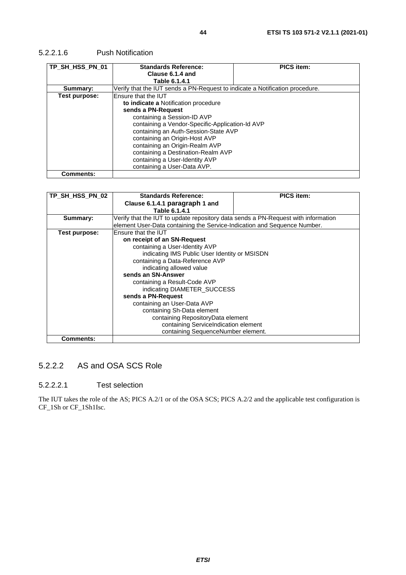#### <span id="page-43-0"></span>5.2.2.1.6 Push Notification

| TP_SH_HSS_PN_01  | <b>Standards Reference:</b>                                                  | <b>PICS item:</b> |  |
|------------------|------------------------------------------------------------------------------|-------------------|--|
|                  | Clause 6.1.4 and                                                             |                   |  |
|                  | Table 6.1.4.1                                                                |                   |  |
| Summary:         | Verify that the IUT sends a PN-Request to indicate a Notification procedure. |                   |  |
| Test purpose:    | Ensure that the IUT                                                          |                   |  |
|                  | to indicate a Notification procedure                                         |                   |  |
|                  | sends a PN-Request                                                           |                   |  |
|                  | containing a Session-ID AVP                                                  |                   |  |
|                  | containing a Vendor-Specific-Application-Id AVP                              |                   |  |
|                  | containing an Auth-Session-State AVP                                         |                   |  |
|                  | containing an Origin-Host AVP                                                |                   |  |
|                  | containing an Origin-Realm AVP                                               |                   |  |
|                  | containing a Destination-Realm AVP                                           |                   |  |
|                  | containing a User-Identity AVP                                               |                   |  |
|                  | containing a User-Data AVP.                                                  |                   |  |
| <b>Comments:</b> |                                                                              |                   |  |

| TP SH HSS PN 02  | <b>Standards Reference:</b>                                                       | <b>PICS item:</b> |
|------------------|-----------------------------------------------------------------------------------|-------------------|
|                  | Clause 6.1.4.1 paragraph 1 and                                                    |                   |
|                  | Table 6.1.4.1                                                                     |                   |
| Summary:         | Verify that the IUT to update repository data sends a PN-Request with information |                   |
|                  | element User-Data containing the Service-Indication and Sequence Number.          |                   |
| Test purpose:    | Ensure that the IUT                                                               |                   |
|                  | on receipt of an SN-Request                                                       |                   |
|                  | containing a User-Identity AVP                                                    |                   |
|                  | indicating IMS Public User Identity or MSISDN                                     |                   |
|                  | containing a Data-Reference AVP                                                   |                   |
|                  | indicating allowed value                                                          |                   |
|                  | sends an SN-Answer                                                                |                   |
|                  | containing a Result-Code AVP                                                      |                   |
|                  | indicating DIAMETER_SUCCESS                                                       |                   |
|                  | sends a PN-Request                                                                |                   |
|                  | containing an User-Data AVP                                                       |                   |
|                  | containing Sh-Data element                                                        |                   |
|                  | containing RepositoryData element                                                 |                   |
|                  | containing ServiceIndication element                                              |                   |
|                  | containing SequenceNumber element.                                                |                   |
| <b>Comments:</b> |                                                                                   |                   |

#### 5.2.2.2 AS and OSA SCS Role

#### 5.2.2.2.1 Test selection

The IUT takes the role of the AS; PICS A.2/1 or of the OSA SCS; PICS A.2/2 and the applicable test configuration is CF\_1Sh or CF\_1Sh1Isc.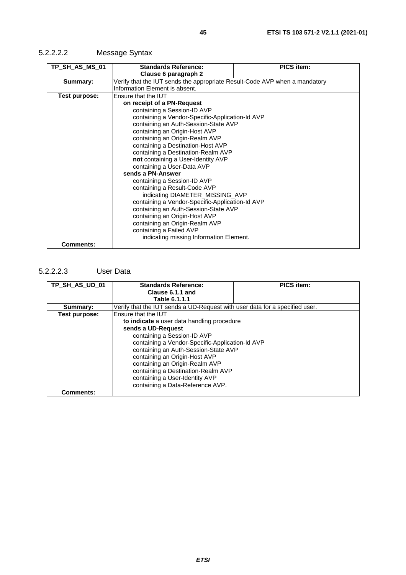<span id="page-44-0"></span>

| TP_SH_AS_MS_01   | <b>Standards Reference:</b>                                                | <b>PICS item:</b> |
|------------------|----------------------------------------------------------------------------|-------------------|
|                  | Clause 6 paragraph 2                                                       |                   |
| Summary:         | Verify that the IUT sends the appropriate Result-Code AVP when a mandatory |                   |
|                  | Information Element is absent.                                             |                   |
| Test purpose:    | Ensure that the IUT                                                        |                   |
|                  | on receipt of a PN-Request                                                 |                   |
|                  | containing a Session-ID AVP                                                |                   |
|                  | containing a Vendor-Specific-Application-Id AVP                            |                   |
|                  | containing an Auth-Session-State AVP                                       |                   |
|                  | containing an Origin-Host AVP                                              |                   |
|                  | containing an Origin-Realm AVP                                             |                   |
|                  | containing a Destination-Host AVP                                          |                   |
|                  | containing a Destination-Realm AVP                                         |                   |
|                  | not containing a User-Identity AVP                                         |                   |
|                  | containing a User-Data AVP                                                 |                   |
|                  | sends a PN-Answer                                                          |                   |
|                  | containing a Session-ID AVP                                                |                   |
|                  | containing a Result-Code AVP                                               |                   |
|                  | indicating DIAMETER MISSING AVP                                            |                   |
|                  | containing a Vendor-Specific-Application-Id AVP                            |                   |
|                  | containing an Auth-Session-State AVP                                       |                   |
|                  | containing an Origin-Host AVP                                              |                   |
|                  | containing an Origin-Realm AVP                                             |                   |
|                  | containing a Failed AVP                                                    |                   |
|                  | indicating missing Information Element.                                    |                   |
| <b>Comments:</b> |                                                                            |                   |

#### 5.2.2.2.3 User Data

| TP_SH_AS_UD_01   | <b>Standards Reference:</b>                                                 | <b>PICS item:</b> |  |
|------------------|-----------------------------------------------------------------------------|-------------------|--|
|                  | Clause 6.1.1 and                                                            |                   |  |
|                  | Table 6.1.1.1                                                               |                   |  |
| Summary:         | Verify that the IUT sends a UD-Request with user data for a specified user. |                   |  |
| Test purpose:    | Ensure that the IUT                                                         |                   |  |
|                  | to indicate a user data handling procedure                                  |                   |  |
|                  | sends a UD-Request                                                          |                   |  |
|                  | containing a Session-ID AVP                                                 |                   |  |
|                  | containing a Vendor-Specific-Application-Id AVP                             |                   |  |
|                  | containing an Auth-Session-State AVP                                        |                   |  |
|                  | containing an Origin-Host AVP                                               |                   |  |
|                  | containing an Origin-Realm AVP                                              |                   |  |
|                  | containing a Destination-Realm AVP                                          |                   |  |
|                  | containing a User-Identity AVP                                              |                   |  |
|                  | containing a Data-Reference AVP.                                            |                   |  |
| <b>Comments:</b> |                                                                             |                   |  |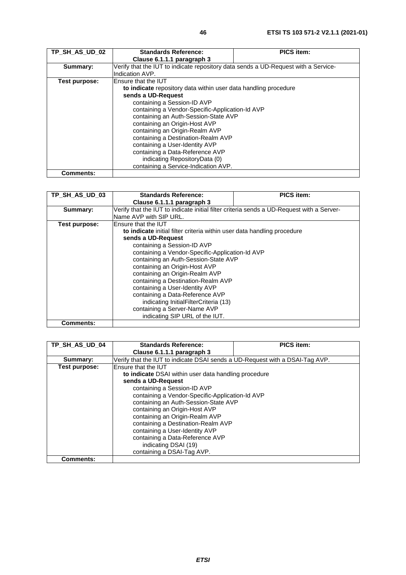| TP SH AS UD 02   | <b>Standards Reference:</b>                                                        | <b>PICS item:</b> |
|------------------|------------------------------------------------------------------------------------|-------------------|
|                  | Clause 6.1.1.1 paragraph 3                                                         |                   |
| Summary:         | Verify that the IUT to indicate repository data sends a UD-Request with a Service- |                   |
|                  | Indication AVP.                                                                    |                   |
| Test purpose:    | Ensure that the IUT                                                                |                   |
|                  | to indicate repository data within user data handling procedure                    |                   |
|                  | sends a UD-Request                                                                 |                   |
|                  | containing a Session-ID AVP                                                        |                   |
|                  | containing a Vendor-Specific-Application-Id AVP                                    |                   |
|                  | containing an Auth-Session-State AVP                                               |                   |
|                  | containing an Origin-Host AVP                                                      |                   |
|                  | containing an Origin-Realm AVP                                                     |                   |
|                  | containing a Destination-Realm AVP                                                 |                   |
|                  | containing a User-Identity AVP                                                     |                   |
|                  | containing a Data-Reference AVP                                                    |                   |
|                  | indicating RepositoryData (0)                                                      |                   |
|                  | containing a Service-Indication AVP.                                               |                   |
| <b>Comments:</b> |                                                                                    |                   |

| TP SH AS UD 03   | <b>Standards Reference:</b>                                                               | <b>PICS item:</b> |
|------------------|-------------------------------------------------------------------------------------------|-------------------|
|                  | Clause 6.1.1.1 paragraph 3                                                                |                   |
| Summary:         | Verify that the IUT to indicate initial filter criteria sends a UD-Request with a Server- |                   |
|                  | Name AVP with SIP URL.                                                                    |                   |
| Test purpose:    | Ensure that the IUT                                                                       |                   |
|                  | to indicate initial filter criteria within user data handling procedure                   |                   |
|                  | sends a UD-Request                                                                        |                   |
|                  | containing a Session-ID AVP                                                               |                   |
|                  | containing a Vendor-Specific-Application-Id AVP                                           |                   |
|                  | containing an Auth-Session-State AVP                                                      |                   |
|                  | containing an Origin-Host AVP                                                             |                   |
|                  | containing an Origin-Realm AVP                                                            |                   |
|                  | containing a Destination-Realm AVP                                                        |                   |
|                  | containing a User-Identity AVP                                                            |                   |
|                  | containing a Data-Reference AVP                                                           |                   |
|                  | indicating InitialFilterCriteria (13)                                                     |                   |
|                  | containing a Server-Name AVP                                                              |                   |
|                  | indicating SIP URL of the IUT.                                                            |                   |
| <b>Comments:</b> |                                                                                           |                   |

| TP SH AS UD 04   | <b>Standards Reference:</b>                                                  | <b>PICS item:</b> |
|------------------|------------------------------------------------------------------------------|-------------------|
|                  | Clause 6.1.1.1 paragraph 3                                                   |                   |
| Summary:         | Verify that the IUT to indicate DSAI sends a UD-Request with a DSAI-Tag AVP. |                   |
| Test purpose:    | Ensure that the IUT                                                          |                   |
|                  | to indicate DSAI within user data handling procedure                         |                   |
|                  | sends a UD-Request                                                           |                   |
|                  | containing a Session-ID AVP                                                  |                   |
|                  | containing a Vendor-Specific-Application-Id AVP                              |                   |
|                  | containing an Auth-Session-State AVP                                         |                   |
|                  | containing an Origin-Host AVP                                                |                   |
|                  | containing an Origin-Realm AVP                                               |                   |
|                  | containing a Destination-Realm AVP                                           |                   |
|                  | containing a User-Identity AVP                                               |                   |
|                  | containing a Data-Reference AVP                                              |                   |
|                  | indicating DSAI (19)                                                         |                   |
|                  | containing a DSAI-Tag AVP.                                                   |                   |
| <b>Comments:</b> |                                                                              |                   |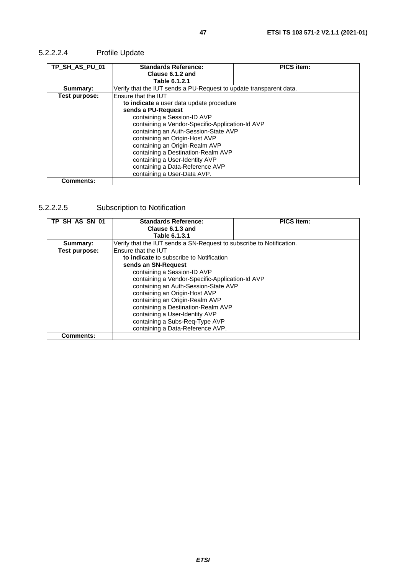## <span id="page-46-0"></span>5.2.2.2.4 Profile Update

| TP_SH_AS_PU_01   | <b>Standards Reference:</b>                                        | <b>PICS item:</b> |  |
|------------------|--------------------------------------------------------------------|-------------------|--|
|                  | Clause 6.1.2 and                                                   |                   |  |
|                  | Table 6.1.2.1                                                      |                   |  |
| Summary:         | Verify that the IUT sends a PU-Request to update transparent data. |                   |  |
| Test purpose:    | Ensure that the IUT                                                |                   |  |
|                  | to indicate a user data update procedure                           |                   |  |
|                  | sends a PU-Request                                                 |                   |  |
|                  | containing a Session-ID AVP                                        |                   |  |
|                  | containing a Vendor-Specific-Application-Id AVP                    |                   |  |
|                  | containing an Auth-Session-State AVP                               |                   |  |
|                  | containing an Origin-Host AVP                                      |                   |  |
|                  | containing an Origin-Realm AVP                                     |                   |  |
|                  | containing a Destination-Realm AVP                                 |                   |  |
|                  | containing a User-Identity AVP                                     |                   |  |
|                  | containing a Data-Reference AVP                                    |                   |  |
|                  | containing a User-Data AVP.                                        |                   |  |
| <b>Comments:</b> |                                                                    |                   |  |

## 5.2.2.2.5 Subscription to Notification

| TP_SH_AS_SN_01   | <b>Standards Reference:</b>                                          | <b>PICS item:</b> |
|------------------|----------------------------------------------------------------------|-------------------|
|                  | Clause 6.1.3 and                                                     |                   |
|                  | Table 6.1.3.1                                                        |                   |
| Summary:         | Verify that the IUT sends a SN-Request to subscribe to Notification. |                   |
| Test purpose:    | Ensure that the IUT                                                  |                   |
|                  | to indicate to subscribe to Notification                             |                   |
|                  | sends an SN-Request                                                  |                   |
|                  | containing a Session-ID AVP                                          |                   |
|                  | containing a Vendor-Specific-Application-Id AVP                      |                   |
|                  | containing an Auth-Session-State AVP                                 |                   |
|                  | containing an Origin-Host AVP                                        |                   |
|                  | containing an Origin-Realm AVP                                       |                   |
|                  | containing a Destination-Realm AVP                                   |                   |
|                  | containing a User-Identity AVP                                       |                   |
|                  | containing a Subs-Req-Type AVP                                       |                   |
|                  | containing a Data-Reference AVP.                                     |                   |
| <b>Comments:</b> |                                                                      |                   |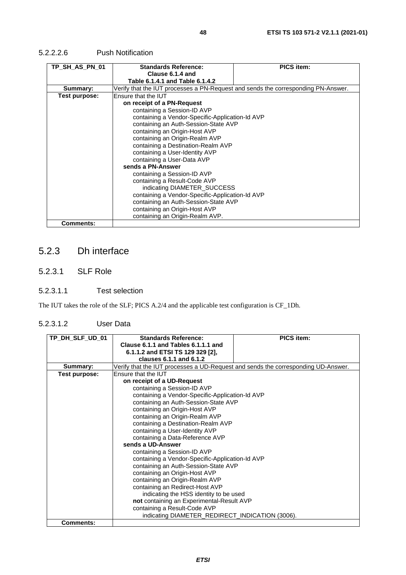| TP_SH_AS_PN_01 | <b>Standards Reference:</b>                                                       | <b>PICS item:</b> |  |
|----------------|-----------------------------------------------------------------------------------|-------------------|--|
|                | Clause 6.1.4 and                                                                  |                   |  |
|                | Table 6.1.4.1 and Table 6.1.4.2                                                   |                   |  |
| Summary:       | Verify that the IUT processes a PN-Request and sends the corresponding PN-Answer. |                   |  |
| Test purpose:  | Ensure that the IUT                                                               |                   |  |
|                | on receipt of a PN-Request                                                        |                   |  |
|                | containing a Session-ID AVP                                                       |                   |  |
|                | containing a Vendor-Specific-Application-Id AVP                                   |                   |  |
|                | containing an Auth-Session-State AVP                                              |                   |  |
|                | containing an Origin-Host AVP                                                     |                   |  |
|                | containing an Origin-Realm AVP                                                    |                   |  |
|                | containing a Destination-Realm AVP                                                |                   |  |
|                | containing a User-Identity AVP                                                    |                   |  |
|                | containing a User-Data AVP                                                        |                   |  |
|                | sends a PN-Answer                                                                 |                   |  |
|                | containing a Session-ID AVP                                                       |                   |  |
|                | containing a Result-Code AVP                                                      |                   |  |
|                | indicating DIAMETER_SUCCESS                                                       |                   |  |
|                | containing a Vendor-Specific-Application-Id AVP                                   |                   |  |
|                | containing an Auth-Session-State AVP                                              |                   |  |
|                | containing an Origin-Host AVP                                                     |                   |  |
|                | containing an Origin-Realm AVP.                                                   |                   |  |
| Comments:      |                                                                                   |                   |  |

#### <span id="page-47-0"></span>5.2.2.2.6 Push Notification

## 5.2.3 Dh interface

#### 5.2.3.1 SLF Role

#### 5.2.3.1.1 Test selection

The IUT takes the role of the SLF; PICS A.2/4 and the applicable test configuration is CF\_1Dh.

#### 5.2.3.1.2 User Data

| TP_DH_SLF_UD_01  | <b>Standards Reference:</b>                                                       | <b>PICS item:</b> |  |
|------------------|-----------------------------------------------------------------------------------|-------------------|--|
|                  | Clause 6.1.1 and Tables 6.1.1.1 and                                               |                   |  |
|                  | 6.1.1.2 and ETSI TS 129 329 [2],                                                  |                   |  |
|                  | clauses 6.1.1 and 6.1.2                                                           |                   |  |
| Summary:         | Verify that the IUT processes a UD-Request and sends the corresponding UD-Answer. |                   |  |
| Test purpose:    | Ensure that the IUT                                                               |                   |  |
|                  | on receipt of a UD-Request                                                        |                   |  |
|                  | containing a Session-ID AVP                                                       |                   |  |
|                  | containing a Vendor-Specific-Application-Id AVP                                   |                   |  |
|                  | containing an Auth-Session-State AVP                                              |                   |  |
|                  | containing an Origin-Host AVP                                                     |                   |  |
|                  | containing an Origin-Realm AVP                                                    |                   |  |
|                  | containing a Destination-Realm AVP                                                |                   |  |
|                  | containing a User-Identity AVP                                                    |                   |  |
|                  | containing a Data-Reference AVP                                                   |                   |  |
|                  | sends a UD-Answer                                                                 |                   |  |
|                  | containing a Session-ID AVP                                                       |                   |  |
|                  | containing a Vendor-Specific-Application-Id AVP                                   |                   |  |
|                  | containing an Auth-Session-State AVP                                              |                   |  |
|                  | containing an Origin-Host AVP                                                     |                   |  |
|                  | containing an Origin-Realm AVP                                                    |                   |  |
|                  | containing an Redirect-Host AVP                                                   |                   |  |
|                  | indicating the HSS identity to be used                                            |                   |  |
|                  | not containing an Experimental-Result AVP                                         |                   |  |
|                  | containing a Result-Code AVP                                                      |                   |  |
|                  | indicating DIAMETER_REDIRECT_INDICATION (3006).                                   |                   |  |
| <b>Comments:</b> |                                                                                   |                   |  |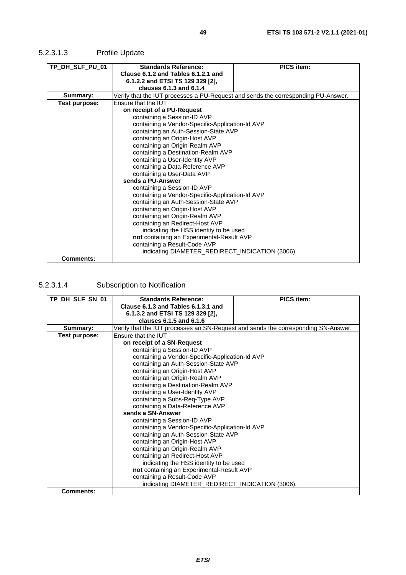### <span id="page-48-0"></span>5.2.3.1.3 Profile Update

| TP DH SLF PU 01  | <b>Standards Reference:</b>                                                       | PICS item: |
|------------------|-----------------------------------------------------------------------------------|------------|
|                  | Clause 6.1.2 and Tables 6.1.2.1 and                                               |            |
|                  | 6.1.2.2 and ETSI TS 129 329 [2],                                                  |            |
|                  | clauses 6.1.3 and 6.1.4                                                           |            |
| Summary:         | Verify that the IUT processes a PU-Request and sends the corresponding PU-Answer. |            |
| Test purpose:    | Ensure that the IUT                                                               |            |
|                  | on receipt of a PU-Request                                                        |            |
|                  | containing a Session-ID AVP                                                       |            |
|                  | containing a Vendor-Specific-Application-Id AVP                                   |            |
|                  | containing an Auth-Session-State AVP                                              |            |
|                  | containing an Origin-Host AVP                                                     |            |
|                  | containing an Origin-Realm AVP                                                    |            |
|                  | containing a Destination-Realm AVP                                                |            |
|                  | containing a User-Identity AVP                                                    |            |
|                  | containing a Data-Reference AVP                                                   |            |
|                  | containing a User-Data AVP                                                        |            |
|                  | sends a PU-Answer                                                                 |            |
|                  | containing a Session-ID AVP                                                       |            |
|                  | containing a Vendor-Specific-Application-Id AVP                                   |            |
|                  | containing an Auth-Session-State AVP                                              |            |
|                  | containing an Origin-Host AVP                                                     |            |
|                  | containing an Origin-Realm AVP                                                    |            |
|                  | containing an Redirect-Host AVP                                                   |            |
|                  | indicating the HSS identity to be used                                            |            |
|                  | not containing an Experimental-Result AVP                                         |            |
|                  | containing a Result-Code AVP                                                      |            |
|                  | indicating DIAMETER_REDIRECT_INDICATION (3006).                                   |            |
| <b>Comments:</b> |                                                                                   |            |

## 5.2.3.1.4 Subscription to Notification

| TP_DH_SLF_SN_01  | <b>Standards Reference:</b>                                                        | <b>PICS item:</b> |  |
|------------------|------------------------------------------------------------------------------------|-------------------|--|
|                  | Clause 6.1.3 and Tables 6.1.3.1 and                                                |                   |  |
|                  | 6.1.3.2 and ETSI TS 129 329 [2],                                                   |                   |  |
|                  | clauses 6.1.5 and 6.1.6                                                            |                   |  |
| Summary:         | Verify that the IUT processes an SN-Request and sends the corresponding SN-Answer. |                   |  |
| Test purpose:    | Ensure that the IUT                                                                |                   |  |
|                  | on receipt of a SN-Request                                                         |                   |  |
|                  | containing a Session-ID AVP                                                        |                   |  |
|                  | containing a Vendor-Specific-Application-Id AVP                                    |                   |  |
|                  | containing an Auth-Session-State AVP                                               |                   |  |
|                  | containing an Origin-Host AVP                                                      |                   |  |
|                  | containing an Origin-Realm AVP                                                     |                   |  |
|                  | containing a Destination-Realm AVP                                                 |                   |  |
|                  | containing a User-Identity AVP                                                     |                   |  |
|                  | containing a Subs-Req-Type AVP                                                     |                   |  |
|                  | containing a Data-Reference AVP                                                    |                   |  |
|                  | sends a SN-Answer                                                                  |                   |  |
|                  | containing a Session-ID AVP                                                        |                   |  |
|                  | containing a Vendor-Specific-Application-Id AVP                                    |                   |  |
|                  | containing an Auth-Session-State AVP                                               |                   |  |
|                  | containing an Origin-Host AVP                                                      |                   |  |
|                  | containing an Origin-Realm AVP                                                     |                   |  |
|                  | containing an Redirect-Host AVP                                                    |                   |  |
|                  | indicating the HSS identity to be used                                             |                   |  |
|                  | not containing an Experimental-Result AVP                                          |                   |  |
|                  | containing a Result-Code AVP                                                       |                   |  |
|                  | indicating DIAMETER_REDIRECT_INDICATION (3006).                                    |                   |  |
| <b>Comments:</b> |                                                                                    |                   |  |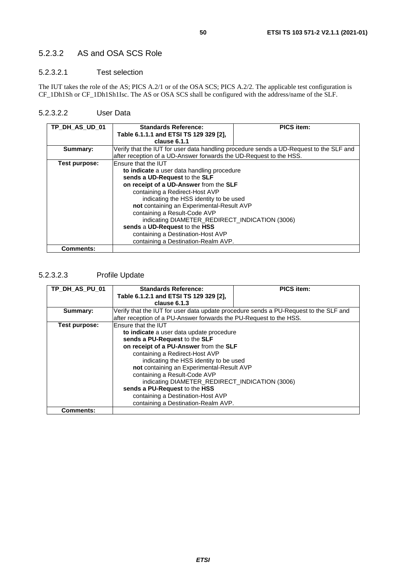### <span id="page-49-0"></span>5.2.3.2 AS and OSA SCS Role

#### 5.2.3.2.1 Test selection

The IUT takes the role of the AS; PICS A.2/1 or of the OSA SCS; PICS A.2/2. The applicable test configuration is CF\_1Dh1Sh or CF\_1Dh1Sh1Isc. The AS or OSA SCS shall be configured with the address/name of the SLF.

#### 5.2.3.2.2 User Data

| TP DH AS UD 01   | <b>Standards Reference:</b>                                        | <b>PICS item:</b>                                                                      |  |
|------------------|--------------------------------------------------------------------|----------------------------------------------------------------------------------------|--|
|                  |                                                                    |                                                                                        |  |
|                  | Table 6.1.1.1 and ETSI TS 129 329 [2],                             |                                                                                        |  |
|                  | clause 6.1.1                                                       |                                                                                        |  |
| Summary:         |                                                                    | Verify that the IUT for user data handling procedure sends a UD-Request to the SLF and |  |
|                  | after reception of a UD-Answer forwards the UD-Request to the HSS. |                                                                                        |  |
| Test purpose:    | Ensure that the IUT                                                |                                                                                        |  |
|                  | to indicate a user data handling procedure                         |                                                                                        |  |
|                  | sends a UD-Request to the SLF                                      |                                                                                        |  |
|                  | on receipt of a UD-Answer from the SLF                             |                                                                                        |  |
|                  | containing a Redirect-Host AVP                                     |                                                                                        |  |
|                  | indicating the HSS identity to be used                             |                                                                                        |  |
|                  | not containing an Experimental-Result AVP                          |                                                                                        |  |
|                  | containing a Result-Code AVP                                       |                                                                                        |  |
|                  | indicating DIAMETER_REDIRECT_INDICATION (3006)                     |                                                                                        |  |
|                  | sends a UD-Request to the HSS                                      |                                                                                        |  |
|                  | containing a Destination-Host AVP                                  |                                                                                        |  |
|                  | containing a Destination-Realm AVP.                                |                                                                                        |  |
| <b>Comments:</b> |                                                                    |                                                                                        |  |

### 5.2.3.2.3 Profile Update

| TP_DH_AS_PU_01   | <b>Standards Reference:</b>                                                          | <b>PICS item:</b>             |  |
|------------------|--------------------------------------------------------------------------------------|-------------------------------|--|
|                  | Table 6.1.2.1 and ETSI TS 129 329 [2],                                               |                               |  |
|                  | clause 6.1.3                                                                         |                               |  |
| Summary:         | Verify that the IUT for user data update procedure sends a PU-Request to the SLF and |                               |  |
|                  | after reception of a PU-Answer forwards the PU-Request to the HSS.                   |                               |  |
| Test purpose:    | Ensure that the IUT                                                                  |                               |  |
|                  | to indicate a user data update procedure                                             |                               |  |
|                  | sends a PU-Request to the SLF                                                        |                               |  |
|                  | on receipt of a PU-Answer from the SLF                                               |                               |  |
|                  | containing a Redirect-Host AVP                                                       |                               |  |
|                  | indicating the HSS identity to be used                                               |                               |  |
|                  | not containing an Experimental-Result AVP                                            |                               |  |
|                  | containing a Result-Code AVP                                                         |                               |  |
|                  | indicating DIAMETER REDIRECT INDICATION (3006)                                       |                               |  |
|                  |                                                                                      | sends a PU-Request to the HSS |  |
|                  | containing a Destination-Host AVP                                                    |                               |  |
|                  | containing a Destination-Realm AVP.                                                  |                               |  |
| <b>Comments:</b> |                                                                                      |                               |  |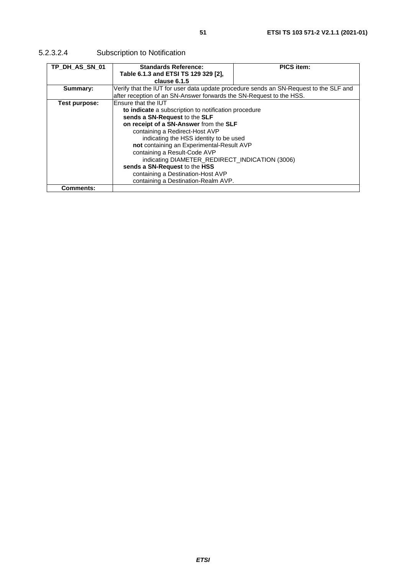## <span id="page-50-0"></span>5.2.3.2.4 Subscription to Notification

| TP DH AS SN 01   | <b>Standards Reference:</b>                                         | <b>PICS item:</b>                                                                     |  |
|------------------|---------------------------------------------------------------------|---------------------------------------------------------------------------------------|--|
|                  | Table 6.1.3 and ETSI TS 129 329 [2],                                |                                                                                       |  |
|                  |                                                                     |                                                                                       |  |
|                  | clause 6.1.5                                                        |                                                                                       |  |
| Summary:         |                                                                     | Verify that the IUT for user data update procedure sends an SN-Request to the SLF and |  |
|                  | after reception of an SN-Answer forwards the SN-Request to the HSS. |                                                                                       |  |
| Test purpose:    | Ensure that the IUT                                                 |                                                                                       |  |
|                  | to indicate a subscription to notification procedure                |                                                                                       |  |
|                  | sends a SN-Request to the SLF                                       |                                                                                       |  |
|                  | on receipt of a SN-Answer from the SLF                              |                                                                                       |  |
|                  | containing a Redirect-Host AVP                                      |                                                                                       |  |
|                  | indicating the HSS identity to be used                              |                                                                                       |  |
|                  | not containing an Experimental-Result AVP                           |                                                                                       |  |
|                  | containing a Result-Code AVP                                        |                                                                                       |  |
|                  | indicating DIAMETER_REDIRECT_INDICATION (3006)                      |                                                                                       |  |
|                  | sends a SN-Request to the HSS                                       |                                                                                       |  |
|                  | containing a Destination-Host AVP                                   |                                                                                       |  |
|                  | containing a Destination-Realm AVP.                                 |                                                                                       |  |
| <b>Comments:</b> |                                                                     |                                                                                       |  |